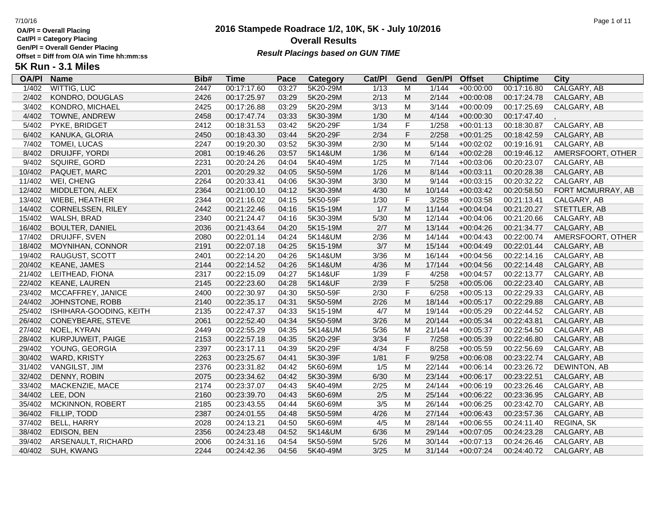**Cat/Pl = Category Placing**

**Gen/Pl = Overall Gender Placing**

## **2016 Stampede Roadrace 1/2, 10K, 5K - July 10/2016** 7/10/16 Page 1 of 11 **Overall Results** Gen/PI = Overall Gender Placing<br>Offset = Diff from O/A win Time hh:mm:ss *Result Placings based on GUN TIME*

| <b>OA/PI</b> | <b>Name</b>             | Bib# | Time        | Pace  | Category | Cat/PI | Gend                                                                                  | Gen/Pl | <b>Offset</b> | <b>Chiptime</b> | City               |
|--------------|-------------------------|------|-------------|-------|----------|--------|---------------------------------------------------------------------------------------|--------|---------------|-----------------|--------------------|
| 1/402        | <b>WITTIG, LUC</b>      | 2447 | 00:17:17.60 | 03:27 | 5K20-29M | 1/13   | M                                                                                     | 1/144  | $+00:00:00$   | 00:17:16.80     | <b>CALGARY, AB</b> |
| 2/402        | KONDRO, DOUGLAS         | 2426 | 00:17:25.97 | 03:29 | 5K20-29M | 2/13   | M                                                                                     | 2/144  | $+00:00:08$   | 00:17:24.78     | CALGARY, AB        |
| 3/402        | KONDRO, MICHAEL         | 2425 | 00:17:26.88 | 03:29 | 5K20-29M | 3/13   | M                                                                                     | 3/144  | $+00:00:09$   | 00:17:25.69     | CALGARY, AB        |
| 4/402        | TOWNE, ANDREW           | 2458 | 00:17:47.74 | 03:33 | 5K30-39M | 1/30   | ${\sf M}$                                                                             | 4/144  | $+00:00:30$   | 00:17:47.40     |                    |
| 5/402        | PYKE, BRIDGET           | 2412 | 00:18:31.53 | 03:42 | 5K20-29F | 1/34   | F                                                                                     | 1/258  | $+00:01:13$   | 00:18:30.87     | CALGARY, AB        |
| 6/402        | KANUKA, GLORIA          | 2450 | 00:18:43.30 | 03:44 | 5K20-29F | 2/34   | $\mathsf F$                                                                           | 2/258  | $+00:01:25$   | 00:18:42.59     | CALGARY, AB        |
| 7/402        | <b>TOMEI, LUCAS</b>     | 2247 | 00:19:20.30 | 03:52 | 5K30-39M | 2/30   | M                                                                                     | 5/144  | $+00:02:02$   | 00:19:16.91     | CALGARY, AB        |
| 8/402        | DRUIJFF, YORDI          | 2081 | 00:19:46.26 | 03:57 | 5K14&UM  | 1/36   | M                                                                                     | 6/144  | $+00:02:28$   | 00:19:46.12     | AMERSFOORT, OTHER  |
| 9/402        | SQUIRE, GORD            | 2231 | 00:20:24.26 | 04:04 | 5K40-49M | 1/25   | M                                                                                     | 7/144  | $+00:03:06$   | 00:20:23.07     | CALGARY, AB        |
| 10/402       | PAQUET, MARC            | 2201 | 00:20:29.32 | 04:05 | 5K50-59M | 1/26   | $\mathsf{M}% _{T}=\mathsf{M}_{T}\!\left( a,b\right) ,\ \mathsf{M}_{T}=\mathsf{M}_{T}$ | 8/144  | $+00:03:11$   | 00:20:28.38     | CALGARY, AB        |
| 11/402       | WEI, CHENG              | 2264 | 00:20:33.41 | 04:06 | 5K30-39M | 3/30   | M                                                                                     | 9/144  | $+00:03:15$   | 00:20:32.22     | CALGARY, AB        |
| 12/402       | MIDDLETON, ALEX         | 2364 | 00:21:00.10 | 04:12 | 5K30-39M | 4/30   | ${\sf M}$                                                                             | 10/144 | $+00:03:42$   | 00:20:58.50     | FORT MCMURRAY, AB  |
| 13/402       | WIEBE, HEATHER          | 2344 | 00:21:16.02 | 04:15 | 5K50-59F | 1/30   | $\mathsf F$                                                                           | 3/258  | $+00:03:58$   | 00:21:13.41     | CALGARY, AB        |
| 14/402       | CORNELSSEN, RILEY       | 2442 | 00:21:22.46 | 04:16 | 5K15-19M | 1/7    | M                                                                                     | 11/144 | $+00:04:04$   | 00:21:20.27     | STETTLER, AB       |
| 15/402       | WALSH, BRAD             | 2340 | 00:21:24.47 | 04:16 | 5K30-39M | 5/30   | M                                                                                     | 12/144 | $+00:04:06$   | 00:21:20.66     | CALGARY, AB        |
| 16/402       | <b>BOULTER, DANIEL</b>  | 2036 | 00:21:43.64 | 04:20 | 5K15-19M | 2/7    | $\mathsf{M}% _{T}=\mathsf{M}_{T}\!\left( a,b\right) ,\ \mathsf{M}_{T}=\mathsf{M}_{T}$ | 13/144 | $+00:04:26$   | 00:21:34.77     | CALGARY, AB        |
| 17/402       | DRUIJFF, SVEN           | 2080 | 00:22:01.14 | 04:24 | 5K14&UM  | 2/36   | M                                                                                     | 14/144 | $+00:04:43$   | 00:22:00.74     | AMERSFOORT, OTHER  |
| 18/402       | MOYNIHAN, CONNOR        | 2191 | 00:22:07.18 | 04:25 | 5K15-19M | 3/7    | ${\sf M}$                                                                             | 15/144 | $+00:04:49$   | 00:22:01.44     | CALGARY, AB        |
| 19/402       | RAUGUST, SCOTT          | 2401 | 00:22:14.20 | 04:26 | 5K14&UM  | 3/36   | M                                                                                     | 16/144 | $+00:04:56$   | 00:22:14.16     | CALGARY, AB        |
| 20/402       | <b>KEANE, JAMES</b>     | 2144 | 00:22:14.52 | 04:26 | 5K14&UM  | 4/36   | ${\sf M}$                                                                             | 17/144 | $+00:04:56$   | 00:22:14.48     | CALGARY, AB        |
| 21/402       | LEITHEAD, FIONA         | 2317 | 00:22:15.09 | 04:27 | 5K14&UF  | 1/39   | $\mathsf F$                                                                           | 4/258  | $+00:04:57$   | 00:22:13.77     | CALGARY, AB        |
| 22/402       | <b>KEANE, LAUREN</b>    | 2145 | 00:22:23.60 | 04:28 | 5K14&UF  | 2/39   | $\mathsf F$                                                                           | 5/258  | $+00:05:06$   | 00:22:23.40     | CALGARY, AB        |
| 23/402       | MCCAFFREY, JANICE       | 2400 | 00:22:30.97 | 04:30 | 5K50-59F | 2/30   | F                                                                                     | 6/258  | $+00:05:13$   | 00:22:29.33     | CALGARY, AB        |
| 24/402       | JOHNSTONE, ROBB         | 2140 | 00:22:35.17 | 04:31 | 5K50-59M | 2/26   | ${\sf M}$                                                                             | 18/144 | $+00:05:17$   | 00:22:29.88     | CALGARY, AB        |
| 25/402       | ISHIHARA-GOODING, KEITH | 2135 | 00:22:47.37 | 04:33 | 5K15-19M | 4/7    | M                                                                                     | 19/144 | $+00:05:29$   | 00:22:44.52     | CALGARY, AB        |
| 26/402       | CONEYBEARE, STEVE       | 2061 | 00:22:52.40 | 04:34 | 5K50-59M | 3/26   | ${\sf M}$                                                                             | 20/144 | $+00:05:34$   | 00:22:43.81     | CALGARY, AB        |
| 27/402       | NOEL, KYRAN             | 2449 | 00:22:55.29 | 04:35 | 5K14&UM  | 5/36   | M                                                                                     | 21/144 | $+00:05:37$   | 00:22:54.50     | CALGARY, AB        |
| 28/402       | KURPJUWEIT, PAIGE       | 2153 | 00:22:57.18 | 04:35 | 5K20-29F | 3/34   | $\mathsf F$                                                                           | 7/258  | $+00:05:39$   | 00:22:46.80     | CALGARY, AB        |
| 29/402       | YOUNG, GEORGIA          | 2397 | 00:23:17.11 | 04:39 | 5K20-29F | 4/34   | F                                                                                     | 8/258  | $+00:05:59$   | 00:22:56.69     | CALGARY, AB        |
| 30/402       | <b>WARD, KRISTY</b>     | 2263 | 00:23:25.67 | 04:41 | 5K30-39F | 1/81   | $\mathsf F$                                                                           | 9/258  | $+00:06:08$   | 00:23:22.74     | CALGARY, AB        |
| 31/402       | <b>VANGILST, JIM</b>    | 2376 | 00:23:31.82 | 04:42 | 5K60-69M | 1/5    | M                                                                                     | 22/144 | $+00:06:14$   | 00:23:26.72     | DEWINTON, AB       |
| 32/402       | DENNY, ROBIN            | 2075 | 00:23:34.62 | 04:42 | 5K30-39M | 6/30   | ${\sf M}$                                                                             | 23/144 | $+00:06:17$   | 00:23:22.51     | CALGARY, AB        |
| 33/402       | MACKENZIE, MACE         | 2174 | 00:23:37.07 | 04:43 | 5K40-49M | 2/25   | M                                                                                     | 24/144 | $+00:06:19$   | 00:23:26.46     | CALGARY, AB        |
| 34/402       | LEE, DON                | 2160 | 00:23:39.70 | 04:43 | 5K60-69M | $2/5$  | ${\sf M}$                                                                             | 25/144 | $+00:06:22$   | 00:23:36.95     | CALGARY, AB        |
| 35/402       | <b>MCKINNON, ROBERT</b> | 2185 | 00:23:43.55 | 04:44 | 5K60-69M | 3/5    | M                                                                                     | 26/144 | $+00:06:25$   | 00:23:42.70     | CALGARY, AB        |
| 36/402       | FILLIP, TODD            | 2387 | 00:24:01.55 | 04:48 | 5K50-59M | 4/26   | ${\sf M}$                                                                             | 27/144 | $+00:06:43$   | 00:23:57.36     | CALGARY, AB        |
| 37/402       | <b>BELL, HARRY</b>      | 2028 | 00:24:13.21 | 04:50 | 5K60-69M | 4/5    | M                                                                                     | 28/144 | $+00:06:55$   | 00:24:11.40     | REGINA, SK         |
| 38/402       | <b>EDISON, BEN</b>      | 2356 | 00:24:23.48 | 04:52 | 5K14&UM  | 6/36   | M                                                                                     | 29/144 | $+00:07:05$   | 00:24:23.28     | CALGARY, AB        |
| 39/402       | ARSENAULT, RICHARD      | 2006 | 00:24:31.16 | 04:54 | 5K50-59M | 5/26   | M                                                                                     | 30/144 | $+00:07:13$   | 00:24:26.46     | CALGARY, AB        |
|              | 40/402 SUH, KWANG       | 2244 | 00:24:42.36 | 04:56 | 5K40-49M | 3/25   | M                                                                                     | 31/144 | $+00:07:24$   | 00:24:40.72     | CALGARY, AB        |
|              |                         |      |             |       |          |        |                                                                                       |        |               |                 |                    |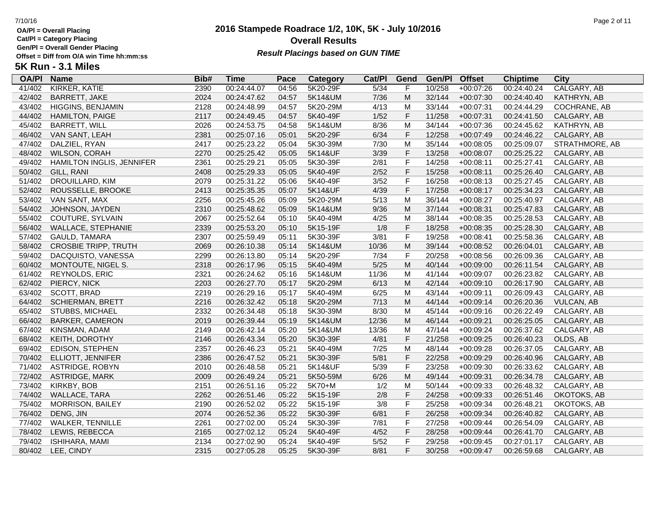**Cat/Pl = Category Placing**

**Gen/Pl = Overall Gender Placing**

## **2016 Stampede Roadrace 1/2, 10K, 5K - July 10/2016** 7/10/16 Page 2 of 11 **Overall Results** Gen/PI = Overall Gender Placing<br>Offset = Diff from O/A win Time hh:mm:ss *Result Placings based on GUN TIME*

| <b>OA/PI</b> | <b>Name</b>                      | Bib# | <b>Time</b> | Pace  | Category | Cat/Pl | Gend                                                                                                       | Gen/Pl | <b>Offset</b> | <b>Chiptime</b> | City               |
|--------------|----------------------------------|------|-------------|-------|----------|--------|------------------------------------------------------------------------------------------------------------|--------|---------------|-----------------|--------------------|
| 41/402       | KIRKER, KATIE                    | 2390 | 00:24:44.07 | 04:56 | 5K20-29F | 5/34   | F                                                                                                          | 10/258 | $+00:07:26$   | 00:24:40.24     | <b>CALGARY, AB</b> |
| 42/402       | <b>BARRETT, JAKE</b>             | 2024 | 00:24:47.62 | 04:57 | 5K14&UM  | 7/36   | M                                                                                                          | 32/144 | $+00:07:30$   | 00:24:40.40     | KATHRYN, AB        |
| 43/402       | HIGGINS, BENJAMIN                | 2128 | 00:24:48.99 | 04:57 | 5K20-29M | 4/13   | M                                                                                                          | 33/144 | $+00:07:31$   | 00:24:44.29     | COCHRANE, AB       |
| 44/402       | <b>HAMILTON, PAIGE</b>           | 2117 | 00:24:49.45 | 04:57 | 5K40-49F | $1/52$ | $\mathsf F$                                                                                                | 11/258 | $+00:07:31$   | 00:24:41.50     | CALGARY, AB        |
| 45/402       | <b>BARRETT, WILL</b>             | 2026 | 00:24:53.75 | 04:58 | 5K14&UM  | 8/36   | M                                                                                                          | 34/144 | $+00:07:36$   | 00:24:45.62     | KATHRYN, AB        |
| 46/402       | VAN SANT, LEAH                   | 2381 | 00:25:07.16 | 05:01 | 5K20-29F | 6/34   | $\mathsf F$                                                                                                | 12/258 | $+00:07:49$   | 00:24:46.22     | CALGARY, AB        |
| 47/402       | DALZIEL, RYAN                    | 2417 | 00:25:23.22 | 05:04 | 5K30-39M | 7/30   | M                                                                                                          | 35/144 | $+00:08:05$   | 00:25:09.07     | STRATHMORE, AB     |
| 48/402       | <b>WILSON, CORAH</b>             | 2270 | 00:25:25.42 | 05:05 | 5K14&UF  | 3/39   | $\mathsf F$                                                                                                | 13/258 | $+00:08:07$   | 00:25:25.22     | CALGARY, AB        |
| 49/402       | <b>HAMILTON INGLIS, JENNIFER</b> | 2361 | 00:25:29.21 | 05:05 | 5K30-39F | 2/81   | $\mathsf F$                                                                                                | 14/258 | $+00:08:11$   | 00:25:27.41     | CALGARY, AB        |
| 50/402       | GILL, RANI                       | 2408 | 00:25:29.33 | 05:05 | 5K40-49F | 2/52   | $\mathsf F$                                                                                                | 15/258 | $+00:08:11$   | 00:25:26.40     | CALGARY, AB        |
| 51/402       | DROUILLARD, KIM                  | 2079 | 00:25:31.22 | 05:06 | 5K40-49F | 3/52   | $\mathsf F$                                                                                                | 16/258 | $+00:08:13$   | 00:25:27.45     | CALGARY, AB        |
| 52/402       | ROUSSELLE, BROOKE                | 2413 | 00:25:35.35 | 05:07 | 5K14&UF  | 4/39   | $\mathsf F$                                                                                                | 17/258 | $+00:08:17$   | 00:25:34.23     | CALGARY, AB        |
| 53/402       | VAN SANT, MAX                    | 2256 | 00:25:45.26 | 05:09 | 5K20-29M | 5/13   | M                                                                                                          | 36/144 | $+00:08:27$   | 00:25:40.97     | CALGARY, AB        |
| 54/402       | JOHNSON, JAYDEN                  | 2310 | 00:25:48.62 | 05:09 | 5K14&UM  | 9/36   | M                                                                                                          | 37/144 | $+00:08:31$   | 00:25:47.83     | CALGARY, AB        |
| 55/402       | COUTURE, SYLVAIN                 | 2067 | 00:25:52.64 | 05:10 | 5K40-49M | 4/25   | M                                                                                                          | 38/144 | $+00:08:35$   | 00:25:28.53     | CALGARY, AB        |
| 56/402       | WALLACE, STEPHANIE               | 2339 | 00:25:53.20 | 05:10 | 5K15-19F | 1/8    | $\mathsf F$                                                                                                | 18/258 | $+00:08:35$   | 00:25:28.30     | CALGARY, AB        |
| 57/402       | GAULD, TAMARA                    | 2307 | 00:25:59.49 | 05:11 | 5K30-39F | 3/81   | $\mathsf F$                                                                                                | 19/258 | $+00:08:41$   | 00:25:58.36     | CALGARY, AB        |
| 58/402       | <b>CROSBIE TRIPP, TRUTH</b>      | 2069 | 00:26:10.38 | 05:14 | 5K14&UM  | 10/36  | M                                                                                                          | 39/144 | $+00:08:52$   | 00:26:04.01     | CALGARY, AB        |
| 59/402       | DACQUISTO, VANESSA               | 2299 | 00:26:13.80 | 05:14 | 5K20-29F | 7/34   | $\mathsf F$                                                                                                | 20/258 | $+00:08:56$   | 00:26:09.36     | CALGARY, AB        |
| 60/402       | MONTOUTE, NIGEL S.               | 2318 | 00:26:17.96 | 05:15 | 5K40-49M | $5/25$ | $\mathsf{M}% _{T}=\mathsf{M}_{T}\!\left( a,b\right) ,\ \mathsf{M}_{T}=\mathsf{M}_{T}\!\left( a,b\right) ,$ | 40/144 | $+00:09:00$   | 00:26:11.54     | CALGARY, AB        |
| 61/402       | REYNOLDS, ERIC                   | 2321 | 00:26:24.62 | 05:16 | 5K14&UM  | 11/36  | M                                                                                                          | 41/144 | $+00:09:07$   | 00:26:23.82     | CALGARY, AB        |
| 62/402       | PIERCY, NICK                     | 2203 | 00:26:27.70 | 05:17 | 5K20-29M | 6/13   | M                                                                                                          | 42/144 | $+00:09:10$   | 00:26:17.90     | CALGARY, AB        |
| 63/402       | SCOTT, BRAD                      | 2219 | 00:26:29.16 | 05:17 | 5K40-49M | 6/25   | M                                                                                                          | 43/144 | $+00:09:11$   | 00:26:09.43     | CALGARY, AB        |
| 64/402       | <b>SCHIERMAN, BRETT</b>          | 2216 | 00:26:32.42 | 05:18 | 5K20-29M | 7/13   | M                                                                                                          | 44/144 | $+00:09:14$   | 00:26:20.36     | <b>VULCAN, AB</b>  |
| 65/402       | <b>STUBBS, MICHAEL</b>           | 2332 | 00:26:34.48 | 05:18 | 5K30-39M | 8/30   | M                                                                                                          | 45/144 | $+00:09:16$   | 00:26:22.49     | CALGARY, AB        |
| 66/402       | <b>BARKER, CAMERON</b>           | 2019 | 00:26:39.44 | 05:19 | 5K14&UM  | 12/36  | M                                                                                                          | 46/144 | $+00:09:21$   | 00:26:25.05     | CALGARY, AB        |
| 67/402       | KINSMAN, ADAM                    | 2149 | 00:26:42.14 | 05:20 | 5K14&UM  | 13/36  | M                                                                                                          | 47/144 | $+00:09:24$   | 00:26:37.62     | CALGARY, AB        |
| 68/402       | KEITH, DOROTHY                   | 2146 | 00:26:43.34 | 05:20 | 5K30-39F | 4/81   | $\mathsf F$                                                                                                | 21/258 | $+00:09:25$   | 00:26:40.23     | OLDS, AB           |
| 69/402       | EDISON, STEPHEN                  | 2357 | 00:26:46.23 | 05:21 | 5K40-49M | 7/25   | M                                                                                                          | 48/144 | $+00:09:28$   | 00:26:37.05     | CALGARY, AB        |
| 70/402       | ELLIOTT, JENNIFER                | 2386 | 00:26:47.52 | 05:21 | 5K30-39F | 5/81   | $\mathsf F$                                                                                                | 22/258 | $+00:09:29$   | 00:26:40.96     | CALGARY, AB        |
| 71/402       | <b>ASTRIDGE, ROBYN</b>           | 2010 | 00:26:48.58 | 05:21 | 5K14&UF  | 5/39   | $\mathsf F$                                                                                                | 23/258 | $+00:09:30$   | 00:26:33.62     | CALGARY, AB        |
| 72/402       | <b>ASTRIDGE, MARK</b>            | 2009 | 00:26:49.24 | 05:21 | 5K50-59M | 6/26   | M                                                                                                          | 49/144 | $+00:09:31$   | 00:26:34.78     | CALGARY, AB        |
| 73/402       | KIRKBY, BOB                      | 2151 | 00:26:51.16 | 05:22 | 5K70+M   | 1/2    | M                                                                                                          | 50/144 | $+00:09:33$   | 00:26:48.32     | CALGARY, AB        |
| 74/402       | <b>WALLACE, TARA</b>             | 2262 | 00:26:51.46 | 05:22 | 5K15-19F | $2/8$  | $\mathsf F$                                                                                                | 24/258 | $+00:09:33$   | 00:26:51.46     | OKOTOKS, AB        |
| 75/402       | <b>MORRISON, BAILEY</b>          | 2190 | 00:26:52.02 | 05:22 | 5K15-19F | 3/8    | $\mathsf F$                                                                                                | 25/258 | $+00:09:34$   | 00:26:48.21     | OKOTOKS, AB        |
| 76/402       | DENG, JIN                        | 2074 | 00:26:52.36 | 05:22 | 5K30-39F | 6/81   | $\mathsf F$                                                                                                | 26/258 | $+00:09:34$   | 00:26:40.82     | CALGARY, AB        |
| 77/402       | <b>WALKER, TENNILLE</b>          | 2261 | 00:27:02.00 | 05:24 | 5K30-39F | 7/81   | $\mathsf F$                                                                                                | 27/258 | $+00:09:44$   | 00:26:54.09     | CALGARY, AB        |
| 78/402       | LEWIS, REBECCA                   | 2165 | 00:27:02.12 | 05:24 | 5K40-49F | 4/52   | $\mathsf F$                                                                                                | 28/258 | $+00:09:44$   | 00:26:41.70     | CALGARY, AB        |
| 79/402       | <b>ISHIHARA, MAMI</b>            | 2134 | 00:27:02.90 | 05:24 | 5K40-49F | $5/52$ | $\mathsf F$                                                                                                | 29/258 | $+00:09:45$   | 00:27:01.17     | CALGARY, AB        |
|              | 80/402 LEE, CINDY                | 2315 | 00:27:05.28 | 05:25 | 5K30-39F | 8/81   | F                                                                                                          | 30/258 | $+00:09:47$   | 00:26:59.68     | CALGARY, AB        |
|              |                                  |      |             |       |          |        |                                                                                                            |        |               |                 |                    |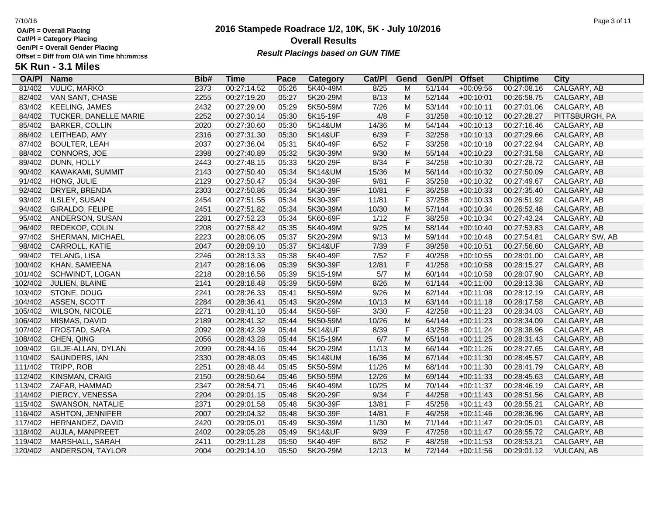**Cat/Pl = Category Placing Gen/Pl = Overall Gender Placing**

**5K Run - 3.1 Miles**

## **2016 Stampede Roadrace 1/2, 10K, 5K - July 10/2016** 7/10/16 Page 3 of 11 **Overall Results** Gen/PI = Overall Gender Placing<br>Offset = Diff from O/A win Time hh:mm:ss *Result Placings based on GUN TIME*

| <b>OA/PI</b> | <b>Name</b>             | Bib# | <b>Time</b> | Pace  | Category | Cat/PI | Gend        | Gen/Pl | <b>Offset</b> | <b>Chiptime</b> | <b>City</b>       |
|--------------|-------------------------|------|-------------|-------|----------|--------|-------------|--------|---------------|-----------------|-------------------|
| 81/402       | <b>VULIC, MARKO</b>     | 2373 | 00:27:14.52 | 05:26 | 5K40-49M | 8/25   | М           | 51/144 | $+00:09:56$   | 00:27:08.16     | CALGARY, AB       |
| 82/402       | VAN SANT, CHASE         | 2255 | 00:27:19.20 | 05:27 | 5K20-29M | 8/13   | M           | 52/144 | $+00:10:01$   | 00:26:58.75     | CALGARY, AB       |
| 83/402       | <b>KEELING, JAMES</b>   | 2432 | 00:27:29.00 | 05:29 | 5K50-59M | 7/26   | М           | 53/144 | $+00:10:11$   | 00:27:01.06     | CALGARY, AB       |
| 84/402       | TUCKER, DANELLE MARIE   | 2252 | 00:27:30.14 | 05:30 | 5K15-19F | 4/8    | F           | 31/258 | $+00:10:12$   | 00:27:28.27     | PITTSBURGH, PA    |
| 85/402       | <b>BARKER, COLLIN</b>   | 2020 | 00:27:30.60 | 05:30 | 5K14&UM  | 14/36  | M           | 54/144 | $+00:10:13$   | 00:27:16.46     | CALGARY, AB       |
| 86/402       | LEITHEAD, AMY           | 2316 | 00:27:31.30 | 05:30 | 5K14&UF  | 6/39   | $\mathsf F$ | 32/258 | $+00:10:13$   | 00:27:29.66     | CALGARY, AB       |
| 87/402       | <b>BOULTER, LEAH</b>    | 2037 | 00:27:36.04 | 05:31 | 5K40-49F | 6/52   | F           | 33/258 | $+00:10:18$   | 00:27:22.94     | CALGARY, AB       |
| 88/402       | CONNORS, JOE            | 2398 | 00:27:40.89 | 05:32 | 5K30-39M | 9/30   | M           | 55/144 | $+00:10:23$   | 00:27:31.58     | CALGARY, AB       |
| 89/402       | DUNN, HOLLY             | 2443 | 00:27:48.15 | 05:33 | 5K20-29F | 8/34   | F           | 34/258 | $+00:10:30$   | 00:27:28.72     | CALGARY, AB       |
| 90/402       | KAWAKAMI, SUMMIT        | 2143 | 00:27:50.40 | 05:34 | 5K14&UM  | 15/36  | M           | 56/144 | $+00:10:32$   | 00:27:50.09     | CALGARY, AB       |
| 91/402       | HONG, JULIE             | 2129 | 00:27:50.47 | 05:34 | 5K30-39F | 9/81   | F           | 35/258 | $+00:10:32$   | 00:27:49.67     | CALGARY, AB       |
| 92/402       | DRYER, BRENDA           | 2303 | 00:27:50.86 | 05:34 | 5K30-39F | 10/81  | $\mathsf F$ | 36/258 | $+00:10:33$   | 00:27:35.40     | CALGARY, AB       |
| 93/402       | ILSLEY, SUSAN           | 2454 | 00:27:51.55 | 05:34 | 5K30-39F | 11/81  | F           | 37/258 | $+00:10:33$   | 00:26:51.92     | CALGARY, AB       |
| 94/402       | GIRALDO, FELIPE         | 2451 | 00:27:51.82 | 05:34 | 5K30-39M | 10/30  | M           | 57/144 | $+00:10:34$   | 00:26:52.48     | CALGARY, AB       |
| 95/402       | ANDERSON, SUSAN         | 2281 | 00:27:52.23 | 05:34 | 5K60-69F | 1/12   | F           | 38/258 | $+00:10:34$   | 00:27:43.24     | CALGARY, AB       |
| 96/402       | REDEKOP, COLIN          | 2208 | 00:27:58.42 | 05:35 | 5K40-49M | 9/25   | M           | 58/144 | $+00:10:40$   | 00:27:53.83     | CALGARY, AB       |
| 97/402       | SHERMAN, MICHAEL        | 2223 | 00:28:06.05 | 05:37 | 5K20-29M | 9/13   | M           | 59/144 | $+00:10:48$   | 00:27:54.81     | CALGARY SW, AB    |
| 98/402       | CARROLL, KATIE          | 2047 | 00:28:09.10 | 05:37 | 5K14&UF  | 7/39   | $\mathsf F$ | 39/258 | $+00:10:51$   | 00:27:56.60     | CALGARY, AB       |
| 99/402       | TELANG, LISA            | 2246 | 00:28:13.33 | 05:38 | 5K40-49F | 7/52   | F           | 40/258 | $+00:10:55$   | 00:28:01.00     | CALGARY, AB       |
| 100/402      | KHAN, SAMEENA           | 2147 | 00:28:16.06 | 05:39 | 5K30-39F | 12/81  | F           | 41/258 | $+00:10:58$   | 00:28:15.27     | CALGARY, AB       |
| 101/402      | SCHWINDT, LOGAN         | 2218 | 00:28:16.56 | 05:39 | 5K15-19M | 5/7    | M           | 60/144 | $+00:10:58$   | 00:28:07.90     | CALGARY, AB       |
| 102/402      | JULIEN, BLAINE          | 2141 | 00:28:18.48 | 05:39 | 5K50-59M | 8/26   | M           | 61/144 | $+00:11:00$   | 00:28:13.38     | CALGARY, AB       |
| 103/402      | STONE, DOUG             | 2241 | 00:28:26.33 | 05:41 | 5K50-59M | 9/26   | M           | 62/144 | $+00:11:08$   | 00:28:12.19     | CALGARY, AB       |
| 104/402      | ASSEN, SCOTT            | 2284 | 00:28:36.41 | 05:43 | 5K20-29M | 10/13  | M           | 63/144 | $+00:11:18$   | 00:28:17.58     | CALGARY, AB       |
| 105/402      | <b>WILSON, NICOLE</b>   | 2271 | 00:28:41.10 | 05:44 | 5K50-59F | 3/30   | F           | 42/258 | $+00:11:23$   | 00:28:34.03     | CALGARY, AB       |
| 106/402      | MISMAS, DAVID           | 2189 | 00:28:41.32 | 05:44 | 5K50-59M | 10/26  | M           | 64/144 | $+00:11:23$   | 00:28:34.09     | CALGARY, AB       |
| 107/402      | FROSTAD, SARA           | 2092 | 00:28:42.39 | 05:44 | 5K14&UF  | 8/39   | F           | 43/258 | $+00:11:24$   | 00:28:38.96     | CALGARY, AB       |
| 108/402      | CHEN, QING              | 2056 | 00:28:43.28 | 05:44 | 5K15-19M | 6/7    | M           | 65/144 | $+00:11:25$   | 00:28:31.43     | CALGARY, AB       |
| 109/402      | GILJE-ALLAN, DYLAN      | 2099 | 00:28:44.16 | 05:44 | 5K20-29M | 11/13  | М           | 66/144 | $+00:11:26$   | 00:28:27.65     | CALGARY, AB       |
| 110/402      | SAUNDERS, IAN           | 2330 | 00:28:48.03 | 05:45 | 5K14&UM  | 16/36  | M           | 67/144 | $+00:11:30$   | 00:28:45.57     | CALGARY, AB       |
| 111/402      | TRIPP, ROB              | 2251 | 00:28:48.44 | 05:45 | 5K50-59M | 11/26  | M           | 68/144 | $+00:11:30$   | 00:28:41.79     | CALGARY, AB       |
| 112/402      | KINSMAN, CRAIG          | 2150 | 00:28:50.64 | 05:46 | 5K50-59M | 12/26  | M           | 69/144 | $+00:11:33$   | 00:28:45.63     | CALGARY, AB       |
| 113/402      | ZAFAR, HAMMAD           | 2347 | 00:28:54.71 | 05:46 | 5K40-49M | 10/25  | М           | 70/144 | $+00:11:37$   | 00:28:46.19     | CALGARY, AB       |
| 114/402      | PIERCY, VENESSA         | 2204 | 00:29:01.15 | 05:48 | 5K20-29F | 9/34   | F           | 44/258 | $+00:11:43$   | 00:28:51.56     | CALGARY, AB       |
| 115/402      | SWANSON, NATALIE        | 2371 | 00:29:01.58 | 05:48 | 5K30-39F | 13/81  | $\mathsf F$ | 45/258 | $+00:11:43$   | 00:28:55.21     | CALGARY, AB       |
| 116/402      | <b>ASHTON, JENNIFER</b> | 2007 | 00:29:04.32 | 05:48 | 5K30-39F | 14/81  | $\mathsf F$ | 46/258 | $+00:11:46$   | 00:28:36.96     | CALGARY, AB       |
| 117/402      | HERNANDEZ, DAVID        | 2420 | 00:29:05.01 | 05:49 | 5K30-39M | 11/30  | М           | 71/144 | $+00:11:47$   | 00:29:05.01     | CALGARY, AB       |
| 118/402      | AUJLA, MANPREET         | 2402 | 00:29:05.28 | 05:49 | 5K14&UF  | 9/39   | F           | 47/258 | $+00:11:47$   | 00:28:55.72     | CALGARY, AB       |
| 119/402      | MARSHALL, SARAH         | 2411 | 00:29:11.28 | 05:50 | 5K40-49F | 8/52   | F           | 48/258 | $+00:11:53$   | 00:28:53.21     | CALGARY, AB       |
| 120/402      | ANDERSON, TAYLOR        | 2004 | 00:29:14.10 | 05:50 | 5K20-29M | 12/13  | M           | 72/144 | $+00:11:56$   | 00:29:01.12     | <b>VULCAN, AB</b> |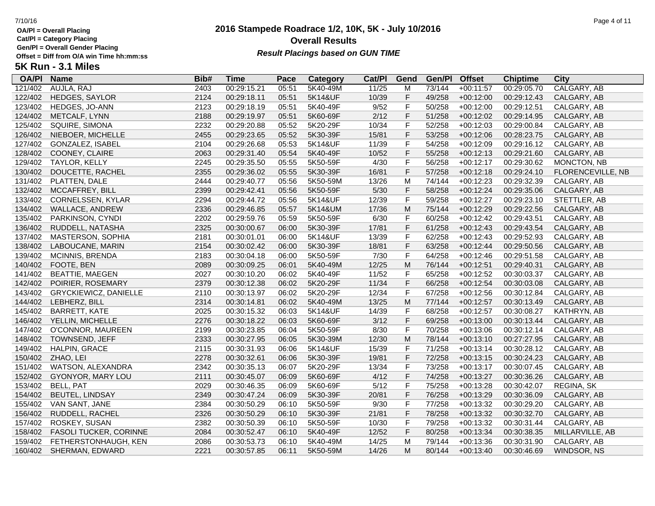**Cat/Pl = Category Placing Gen/Pl = Overall Gender Placing**

**5K Run - 3.1 Miles**

## **2016 Stampede Roadrace 1/2, 10K, 5K - July 10/2016** 7/10/16 Page 4 of 11 **Overall Results** Gen/PI = Overall Gender Placing<br>Offset = Diff from O/A win Time hh:mm:ss *Result Placings based on GUN TIME*

| <b>OA/PI</b> | <b>Name</b>                  | Bib# | <b>Time</b> | Pace  | Category | Cat/PI | Gend        | Gen/Pl | <b>Offset</b> | <b>Chiptime</b> | City              |
|--------------|------------------------------|------|-------------|-------|----------|--------|-------------|--------|---------------|-----------------|-------------------|
| 121/402      | AUJLA, RAJ                   | 2403 | 00:29:15.21 | 05:51 | 5K40-49M | 11/25  | М           | 73/144 | $+00:11:57$   | 00:29:05.70     | CALGARY, AB       |
| 122/402      | <b>HEDGES, SAYLOR</b>        | 2124 | 00:29:18.11 | 05:51 | 5K14&UF  | 10/39  | F           | 49/258 | $+00:12:00$   | 00:29:12.43     | CALGARY, AB       |
| 123/402      | HEDGES, JO-ANN               | 2123 | 00:29:18.19 | 05:51 | 5K40-49F | 9/52   | F           | 50/258 | $+00:12:00$   | 00:29:12.51     | CALGARY, AB       |
| 124/402      | METCALF, LYNN                | 2188 | 00:29:19.97 | 05:51 | 5K60-69F | 2/12   | F           | 51/258 | $+00:12:02$   | 00:29:14.95     | CALGARY, AB       |
| 125/402      | SQUIRE, SIMONA               | 2232 | 00:29:20.88 | 05:52 | 5K20-29F | 10/34  | F           | 52/258 | $+00:12:03$   | 00:29:00.84     | CALGARY, AB       |
| 126/402      | NIEBOER, MICHELLE            | 2455 | 00:29:23.65 | 05:52 | 5K30-39F | 15/81  | F           | 53/258 | $+00:12:06$   | 00:28:23.75     | CALGARY, AB       |
| 127/402      | GONZALEZ, ISABEL             | 2104 | 00:29:26.68 | 05:53 | 5K14&UF  | 11/39  | $\mathsf F$ | 54/258 | $+00:12:09$   | 00:29:16.12     | CALGARY, AB       |
| 128/402      | COONEY, CLAIRE               | 2063 | 00:29:31.40 | 05:54 | 5K40-49F | 10/52  | F           | 55/258 | $+00:12:13$   | 00:29:21.60     | CALGARY, AB       |
| 129/402      | TAYLOR, KELLY                | 2245 | 00:29:35.50 | 05:55 | 5K50-59F | 4/30   | F           | 56/258 | $+00:12:17$   | 00:29:30.62     | MONCTON, NB       |
| 130/402      | DOUCETTE, RACHEL             | 2355 | 00:29:36.02 | 05:55 | 5K30-39F | 16/81  | F           | 57/258 | $+00:12:18$   | 00:29:24.10     | FLORENCEVILLE, NB |
| 131/402      | PLATTEN, DALE                | 2444 | 00:29:40.77 | 05:56 | 5K50-59M | 13/26  | M           | 74/144 | $+00:12:23$   | 00:29:32.39     | CALGARY, AB       |
| 132/402      | MCCAFFREY, BILL              | 2399 | 00:29:42.41 | 05:56 | 5K50-59F | $5/30$ | F           | 58/258 | $+00:12:24$   | 00:29:35.06     | CALGARY, AB       |
| 133/402      | CORNELSSEN, KYLAR            | 2294 | 00:29:44.72 | 05:56 | 5K14&UF  | 12/39  | $\mathsf F$ | 59/258 | $+00:12:27$   | 00:29:23.10     | STETTLER, AB      |
| 134/402      | WALLACE, ANDREW              | 2336 | 00:29:46.85 | 05:57 | 5K14&UM  | 17/36  | M           | 75/144 | $+00:12:29$   | 00:29:22.56     | CALGARY, AB       |
| 135/402      | PARKINSON, CYNDI             | 2202 | 00:29:59.76 | 05:59 | 5K50-59F | 6/30   | F           | 60/258 | $+00:12:42$   | 00:29:43.51     | CALGARY, AB       |
| 136/402      | RUDDELL, NATASHA             | 2325 | 00:30:00.67 | 06:00 | 5K30-39F | 17/81  | F           | 61/258 | $+00:12:43$   | 00:29:43.54     | CALGARY, AB       |
| 137/402      | MASTERSON, SOPHIA            | 2181 | 00:30:01.01 | 06:00 | 5K14&UF  | 13/39  | $\mathsf F$ | 62/258 | $+00:12:43$   | 00:29:52.93     | CALGARY, AB       |
| 138/402      | LABOUCANE, MARIN             | 2154 | 00:30:02.42 | 06:00 | 5K30-39F | 18/81  | F           | 63/258 | $+00:12:44$   | 00:29:50.56     | CALGARY, AB       |
| 139/402      | MCINNIS, BRENDA              | 2183 | 00:30:04.18 | 06:00 | 5K50-59F | 7/30   | $\mathsf F$ | 64/258 | $+00:12:46$   | 00:29:51.58     | CALGARY, AB       |
| 140/402      | FOOTE, BEN                   | 2089 | 00:30:09.25 | 06:01 | 5K40-49M | 12/25  | M           | 76/144 | $+00:12:51$   | 00:29:40.31     | CALGARY, AB       |
| 141/402      | <b>BEATTIE, MAEGEN</b>       | 2027 | 00:30:10.20 | 06:02 | 5K40-49F | 11/52  | F           | 65/258 | $+00:12:52$   | 00:30:03.37     | CALGARY, AB       |
| 142/402      | POIRIER, ROSEMARY            | 2379 | 00:30:12.38 | 06:02 | 5K20-29F | 11/34  | F           | 66/258 | $+00:12:54$   | 00:30:03.08     | CALGARY, AB       |
| 143/402      | <b>GRYCKIEWICZ, DANIELLE</b> | 2110 | 00:30:13.97 | 06:02 | 5K20-29F | 12/34  | $\mathsf F$ | 67/258 | $+00:12:56$   | 00:30:12.84     | CALGARY, AB       |
| 144/402      | LEBHERZ, BILL                | 2314 | 00:30:14.81 | 06:02 | 5K40-49M | 13/25  | M           | 77/144 | $+00:12:57$   | 00:30:13.49     | CALGARY, AB       |
| 145/402      | <b>BARRETT, KATE</b>         | 2025 | 00:30:15.32 | 06:03 | 5K14&UF  | 14/39  | F           | 68/258 | $+00:12:57$   | 00:30:08.27     | KATHRYN, AB       |
| 146/402      | YELLIN, MICHELLE             | 2276 | 00:30:18.22 | 06:03 | 5K60-69F | 3/12   | F           | 69/258 | $+00:13:00$   | 00:30:13.44     | CALGARY, AB       |
| 147/402      | O'CONNOR, MAUREEN            | 2199 | 00:30:23.85 | 06:04 | 5K50-59F | 8/30   | F           | 70/258 | $+00:13:06$   | 00:30:12.14     | CALGARY, AB       |
| 148/402      | TOWNSEND, JEFF               | 2333 | 00:30:27.95 | 06:05 | 5K30-39M | 12/30  | M           | 78/144 | $+00:13:10$   | 00:27:27.95     | CALGARY, AB       |
| 149/402      | HALPIN, GRACE                | 2115 | 00:30:31.93 | 06:06 | 5K14&UF  | 15/39  | $\mathsf F$ | 71/258 | $+00:13:14$   | 00:30:28.12     | CALGARY, AB       |
| 150/402      | ZHAO, LEI                    | 2278 | 00:30:32.61 | 06:06 | 5K30-39F | 19/81  | F           | 72/258 | $+00:13:15$   | 00:30:24.23     | CALGARY, AB       |
| 151/402      | WATSON, ALEXANDRA            | 2342 | 00:30:35.13 | 06:07 | 5K20-29F | 13/34  | F           | 73/258 | $+00:13:17$   | 00:30:07.45     | CALGARY, AB       |
| 152/402      | GYONYOR, MARY LOU            | 2111 | 00:30:45.07 | 06:09 | 5K60-69F | 4/12   | $\mathsf F$ | 74/258 | $+00:13:27$   | 00:30:36.26     | CALGARY, AB       |
| 153/402      | BELL, PAT                    | 2029 | 00:30:46.35 | 06:09 | 5K60-69F | 5/12   | $\mathsf F$ | 75/258 | $+00:13:28$   | 00:30:42.07     | REGINA, SK        |
| 154/402      | <b>BEUTEL, LINDSAY</b>       | 2349 | 00:30:47.24 | 06:09 | 5K30-39F | 20/81  | F           | 76/258 | $+00:13:29$   | 00:30:36.09     | CALGARY, AB       |
| 155/402      | VAN SANT, JANE               | 2384 | 00:30:50.29 | 06:10 | 5K50-59F | 9/30   | $\mathsf F$ | 77/258 | $+00:13:32$   | 00:30:29.20     | CALGARY, AB       |
| 156/402      | RUDDELL, RACHEL              | 2326 | 00:30:50.29 | 06:10 | 5K30-39F | 21/81  | F           | 78/258 | $+00:13:32$   | 00:30:32.70     | CALGARY, AB       |
| 157/402      | ROSKEY, SUSAN                | 2382 | 00:30:50.39 | 06:10 | 5K50-59F | 10/30  | $\mathsf F$ | 79/258 | $+00:13:32$   | 00:30:31.44     | CALGARY, AB       |
| 158/402      | FASOLI TUCKER, CORINNE       | 2084 | 00:30:52.47 | 06:10 | 5K40-49F | 12/52  | F           | 80/258 | $+00:13:34$   | 00:30:38.35     | MILLARVILLE, AB   |
| 159/402      | FETHERSTONHAUGH, KEN         | 2086 | 00:30:53.73 | 06:10 | 5K40-49M | 14/25  | M           | 79/144 | $+00:13:36$   | 00:30:31.90     | CALGARY, AB       |
|              | 160/402 SHERMAN, EDWARD      | 2221 | 00:30:57.85 | 06:11 | 5K50-59M | 14/26  | M           | 80/144 | $+00:13:40$   | 00:30:46.69     | WINDSOR, NS       |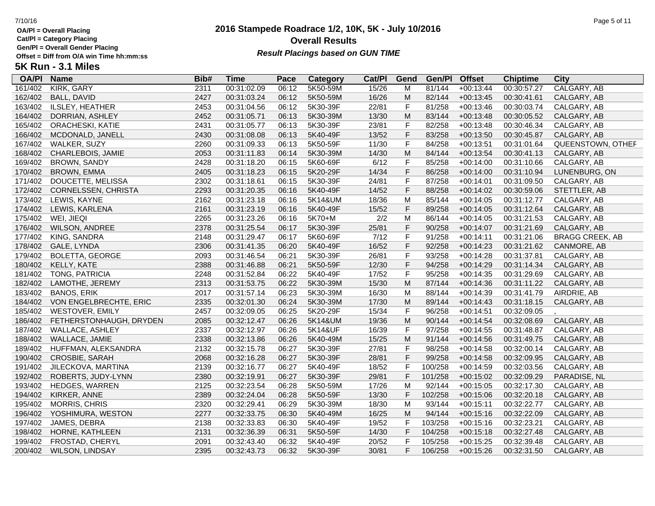**Cat/Pl = Category Placing**

**Gen/Pl = Overall Gender Placing**

### **2016 Stampede Roadrace 1/2, 10K, 5K - July 10/2016** 7/10/16 Page 5 of 11 **Overall Results Result Placings based on GUN TIME**

| <b>OA/PI</b> | <b>Name</b>             | Bib# | Time        | Pace  | Category | Cat/PI | Gend                                                                                  | Gen/Pl  | <b>Offset</b> | <b>Chiptime</b> | City                   |
|--------------|-------------------------|------|-------------|-------|----------|--------|---------------------------------------------------------------------------------------|---------|---------------|-----------------|------------------------|
| 161/402      | <b>KIRK, GARY</b>       | 2311 | 00:31:02.09 | 06:12 | 5K50-59M | 15/26  | M                                                                                     | 81/144  | $+00:13:44$   | 00:30:57.27     | CALGARY, AB            |
| 162/402      | <b>BALL, DAVID</b>      | 2427 | 00:31:03.24 | 06:12 | 5K50-59M | 16/26  | M                                                                                     | 82/144  | $+00:13:45$   | 00:30:41.61     | CALGARY, AB            |
| 163/402      | ILSLEY, HEATHER         | 2453 | 00:31:04.56 | 06:12 | 5K30-39F | 22/81  | $\mathsf F$                                                                           | 81/258  | $+00:13:46$   | 00:30:03.74     | CALGARY, AB            |
| 164/402      | DORRIAN, ASHLEY         | 2452 | 00:31:05.71 | 06:13 | 5K30-39M | 13/30  | M                                                                                     | 83/144  | $+00:13:48$   | 00:30:05.52     | CALGARY, AB            |
| 165/402      | ORACHESKI, KATIE        | 2431 | 00:31:05.77 | 06:13 | 5K30-39F | 23/81  | $\mathsf F$                                                                           | 82/258  | $+00:13:48$   | 00:30:46.34     | CALGARY, AB            |
| 166/402      | MCDONALD, JANELL        | 2430 | 00:31:08.08 | 06:13 | 5K40-49F | 13/52  | F                                                                                     | 83/258  | $+00:13:50$   | 00:30:45.87     | CALGARY, AB            |
| 167/402      | WALKER, SUZY            | 2260 | 00:31:09.33 | 06:13 | 5K50-59F | 11/30  | F                                                                                     | 84/258  | $+00:13:51$   | 00:31:01.64     | QUEENSTOWN, OTHEF      |
| 168/402      | CHARLEBOIS, JAMIE       | 2053 | 00:31:11.83 | 06:14 | 5K30-39M | 14/30  | $\mathsf{M}% _{T}=\mathsf{M}_{T}\!\left( a,b\right) ,\ \mathsf{M}_{T}=\mathsf{M}_{T}$ | 84/144  | $+00:13:54$   | 00:30:41.13     | CALGARY, AB            |
| 169/402      | BROWN, SANDY            | 2428 | 00:31:18.20 | 06:15 | 5K60-69F | 6/12   | $\mathsf F$                                                                           | 85/258  | $+00:14:00$   | 00:31:10.66     | CALGARY, AB            |
| 170/402      | <b>BROWN, EMMA</b>      | 2405 | 00:31:18.23 | 06:15 | 5K20-29F | 14/34  | $\mathsf F$                                                                           | 86/258  | $+00:14:00$   | 00:31:10.94     | LUNENBURG, ON          |
| 171/402      | DOUCETTE, MELISSA       | 2302 | 00:31:18.61 | 06:15 | 5K30-39F | 24/81  | F                                                                                     | 87/258  | $+00:14:01$   | 00:31:09.50     | CALGARY, AB            |
| 172/402      | CORNELSSEN, CHRISTA     | 2293 | 00:31:20.35 | 06:16 | 5K40-49F | 14/52  | F                                                                                     | 88/258  | $+00:14:02$   | 00:30:59.06     | STETTLER, AB           |
| 173/402      | LEWIS, KAYNE            | 2162 | 00:31:23.18 | 06:16 | 5K14&UM  | 18/36  | M                                                                                     | 85/144  | $+00:14:05$   | 00:31:12.77     | CALGARY, AB            |
| 174/402      | LEWIS, KARLENA          | 2161 | 00:31:23.19 | 06:16 | 5K40-49F | 15/52  | F                                                                                     | 89/258  | $+00:14:05$   | 00:31:12.64     | CALGARY, AB            |
| 175/402      | WEI, JIEQI              | 2265 | 00:31:23.26 | 06:16 | 5K70+M   | 2/2    | M                                                                                     | 86/144  | $+00:14:05$   | 00:31:21.53     | CALGARY, AB            |
| 176/402      | WILSON, ANDREE          | 2378 | 00:31:25.54 | 06:17 | 5K30-39F | 25/81  | $\mathsf F$                                                                           | 90/258  | $+00:14:07$   | 00:31:21.69     | CALGARY, AB            |
| 177/402      | KING, SANDRA            | 2148 | 00:31:29.47 | 06:17 | 5K60-69F | $7/12$ | F                                                                                     | 91/258  | $+00:14:11$   | 00:31:21.06     | <b>BRAGG CREEK, AB</b> |
| 178/402      | GALE, LYNDA             | 2306 | 00:31:41.35 | 06:20 | 5K40-49F | 16/52  | F                                                                                     | 92/258  | $+00:14:23$   | 00:31:21.62     | CANMORE, AB            |
| 179/402      | <b>BOLETTA, GEORGE</b>  | 2093 | 00:31:46.54 | 06:21 | 5K30-39F | 26/81  | F                                                                                     | 93/258  | $+00:14:28$   | 00:31:37.81     | CALGARY, AB            |
| 180/402      | KELLY, KATE             | 2388 | 00:31:46.88 | 06:21 | 5K50-59F | 12/30  | $\mathsf F$                                                                           | 94/258  | $+00:14:29$   | 00:31:14.34     | CALGARY, AB            |
| 181/402      | TONG, PATRICIA          | 2248 | 00:31:52.84 | 06:22 | 5K40-49F | 17/52  | $\mathsf F$                                                                           | 95/258  | $+00:14:35$   | 00:31:29.69     | CALGARY, AB            |
| 182/402      | LAMOTHE, JEREMY         | 2313 | 00:31:53.75 | 06:22 | 5K30-39M | 15/30  | M                                                                                     | 87/144  | $+00:14:36$   | 00:31:11.22     | CALGARY, AB            |
| 183/402      | <b>BANOS, ERIK</b>      | 2017 | 00:31:57.14 | 06:23 | 5K30-39M | 16/30  | M                                                                                     | 88/144  | $+00:14:39$   | 00:31:41.79     | AIRDRIE, AB            |
| 184/402      | VON ENGELBRECHTE, ERIC  | 2335 | 00:32:01.30 | 06:24 | 5K30-39M | 17/30  | ${\sf M}$                                                                             | 89/144  | $+00:14:43$   | 00:31:18.15     | CALGARY, AB            |
| 185/402      | <b>WESTOVER, EMILY</b>  | 2457 | 00:32:09.05 | 06:25 | 5K20-29F | 15/34  | $\mathsf F$                                                                           | 96/258  | $+00:14:51$   | 00:32:09.05     |                        |
| 186/402      | FETHERSTONHAUGH, DRYDEN | 2085 | 00:32:12.47 | 06:26 | 5K14&UM  | 19/36  | ${\sf M}$                                                                             | 90/144  | $+00:14:54$   | 00:32:08.69     | CALGARY, AB            |
| 187/402      | WALLACE, ASHLEY         | 2337 | 00:32:12.97 | 06:26 | 5K14&UF  | 16/39  | $\mathsf F$                                                                           | 97/258  | $+00:14:55$   | 00:31:48.87     | CALGARY, AB            |
| 188/402      | WALLACE, JAMIE          | 2338 | 00:32:13.86 | 06:26 | 5K40-49M | 15/25  | M                                                                                     | 91/144  | $+00:14:56$   | 00:31:49.75     | CALGARY, AB            |
| 189/402      | HUFFMAN, ALEKSANDRA     | 2132 | 00:32:15.78 | 06:27 | 5K30-39F | 27/81  | $\mathsf F$                                                                           | 98/258  | $+00:14:58$   | 00:32:00.14     | CALGARY, AB            |
| 190/402      | CROSBIE, SARAH          | 2068 | 00:32:16.28 | 06:27 | 5K30-39F | 28/81  | $\mathsf F$                                                                           | 99/258  | $+00:14:58$   | 00:32:09.95     | CALGARY, AB            |
| 191/402      | JILECKOVA, MARTINA      | 2139 | 00:32:16.77 | 06:27 | 5K40-49F | 18/52  | $\mathsf F$                                                                           | 100/258 | $+00:14:59$   | 00:32:03.56     | CALGARY, AB            |
| 192/402      | ROBERTS, JUDY-LYNN      | 2380 | 00:32:19.91 | 06:27 | 5K30-39F | 29/81  | $\mathsf F$                                                                           | 101/258 | $+00:15:02$   | 00:32:09.29     | PARADISE, NL           |
| 193/402      | HEDGES, WARREN          | 2125 | 00:32:23.54 | 06:28 | 5K50-59M | 17/26  | M                                                                                     | 92/144  | $+00:15:05$   | 00:32:17.30     | CALGARY, AB            |
| 194/402      | KIRKER, ANNE            | 2389 | 00:32:24.04 | 06:28 | 5K50-59F | 13/30  | $\mathsf F$                                                                           | 102/258 | $+00:15:06$   | 00:32:20.18     | CALGARY, AB            |
| 195/402      | <b>MORRIS, CHRIS</b>    | 2320 | 00:32:29.41 | 06:29 | 5K30-39M | 18/30  | M                                                                                     | 93/144  | $+00:15:11$   | 00:32:22.77     | CALGARY, AB            |
| 196/402      | YOSHIMURA, WESTON       | 2277 | 00:32:33.75 | 06:30 | 5K40-49M | 16/25  | M                                                                                     | 94/144  | $+00:15:16$   | 00:32:22.09     | CALGARY, AB            |
| 197/402      | JAMES, DEBRA            | 2138 | 00:32:33.83 | 06:30 | 5K40-49F | 19/52  | $\mathsf{F}$                                                                          | 103/258 | $+00:15:16$   | 00:32:23.21     | CALGARY, AB            |
| 198/402      | HORNE, KATHLEEN         | 2131 | 00:32:36.39 | 06:31 | 5K50-59F | 14/30  | F                                                                                     | 104/258 | $+00:15:18$   | 00:32:27.48     | CALGARY, AB            |
| 199/402      | FROSTAD, CHERYL         | 2091 | 00:32:43.40 | 06:32 | 5K40-49F | 20/52  | F                                                                                     | 105/258 | $+00:15:25$   | 00:32:39.48     | CALGARY, AB            |
| 200/402      | WILSON, LINDSAY         | 2395 | 00:32:43.73 | 06:32 | 5K30-39F | 30/81  | F                                                                                     | 106/258 | $+00:15:26$   | 00:32:31.50     | CALGARY, AB            |
|              |                         |      |             |       |          |        |                                                                                       |         |               |                 |                        |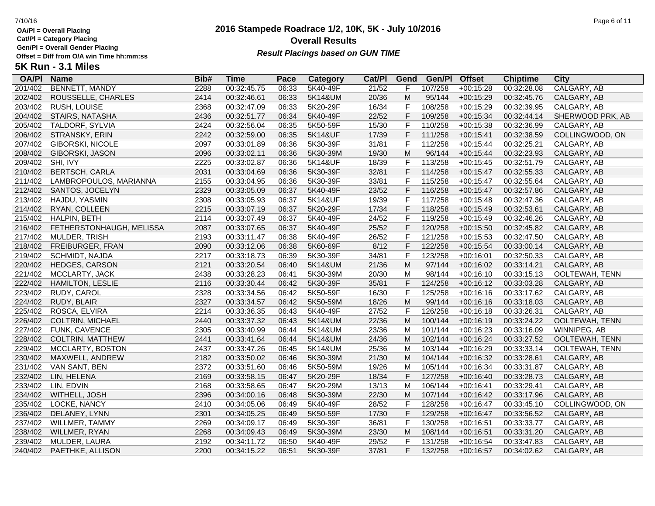**Cat/Pl = Category Placing Gen/Pl = Overall Gender Placing**

**5K Run - 3.1 Miles**

## **2016 Stampede Roadrace 1/2, 10K, 5K - July 10/2016** 7/10/16 Page 6 of 11 **Overall Results** Gen/PI = Overall Gender Placing<br>Offset = Diff from O/A win Time hh:mm:ss *Result Placings based on GUN TIME*

| <b>OA/PI</b> | <b>Name</b>              | Bib# | <b>Time</b> | Pace  | <b>Category</b> | Cat/PI | Gend        | Gen/Pl  | <b>Offset</b> | <b>Chiptime</b> | <b>City</b>      |
|--------------|--------------------------|------|-------------|-------|-----------------|--------|-------------|---------|---------------|-----------------|------------------|
| 201/402      | <b>BENNETT, MANDY</b>    | 2288 | 00:32:45.75 | 06:33 | 5K40-49F        | 21/52  | F           | 107/258 | $+00:15:28$   | 00:32:28.08     | CALGARY, AB      |
| 202/402      | ROUSSELLE, CHARLES       | 2414 | 00:32:46.61 | 06:33 | 5K14&UM         | 20/36  | M           | 95/144  | $+00:15:29$   | 00:32:45.76     | CALGARY, AB      |
| 203/402      | <b>RUSH, LOUISE</b>      | 2368 | 00:32:47.09 | 06:33 | 5K20-29F        | 16/34  | F           | 108/258 | $+00:15:29$   | 00:32:39.95     | CALGARY, AB      |
| 204/402      | STAIRS, NATASHA          | 2436 | 00:32:51.77 | 06:34 | 5K40-49F        | 22/52  | $\mathsf F$ | 109/258 | $+00:15:34$   | 00:32:44.14     | SHERWOOD PRK, AB |
| 205/402      | TALDORF, SYLVIA          | 2424 | 00:32:56.04 | 06:35 | 5K50-59F        | 15/30  | $\mathsf F$ | 110/258 | $+00:15:38$   | 00:32:36.99     | CALGARY, AB      |
| 206/402      | STRANSKY, ERIN           | 2242 | 00:32:59.00 | 06:35 | 5K14&UF         | 17/39  | F           | 111/258 | $+00:15:41$   | 00:32:38.59     | COLLINGWOOD, ON  |
| 207/402      | <b>GIBORSKI, NICOLE</b>  | 2097 | 00:33:01.89 | 06:36 | 5K30-39F        | 31/81  | F           | 112/258 | $+00:15:44$   | 00:32:25.21     | CALGARY, AB      |
| 208/402      | GIBORSKI, JASON          | 2096 | 00:33:02.11 | 06:36 | 5K30-39M        | 19/30  | M           | 96/144  | $+00:15:44$   | 00:32:23.93     | CALGARY, AB      |
| 209/402      | SHI, IVY                 | 2225 | 00:33:02.87 | 06:36 | 5K14&UF         | 18/39  | F           | 113/258 | $+00:15:45$   | 00:32:51.79     | CALGARY, AB      |
| 210/402      | <b>BERTSCH, CARLA</b>    | 2031 | 00:33:04.69 | 06:36 | 5K30-39F        | 32/81  | $\mathsf F$ | 114/258 | $+00:15:47$   | 00:32:55.33     | CALGARY, AB      |
| 211/402      | LAMBROPOULOS, MARIANNA   | 2155 | 00:33:04.95 | 06:36 | 5K30-39F        | 33/81  | $\mathsf F$ | 115/258 | $+00:15:47$   | 00:32:55.64     | CALGARY, AB      |
| 212/402      | SANTOS, JOCELYN          | 2329 | 00:33:05.09 | 06:37 | 5K40-49F        | 23/52  | $\mathsf F$ | 116/258 | $+00:15:47$   | 00:32:57.86     | CALGARY, AB      |
| 213/402      | HAJDU, YASMIN            | 2308 | 00:33:05.93 | 06:37 | 5K14&UF         | 19/39  | F           | 117/258 | $+00:15:48$   | 00:32:47.36     | CALGARY, AB      |
| 214/402      | RYAN, COLLEEN            | 2215 | 00:33:07.19 | 06:37 | 5K20-29F        | 17/34  | $\mathsf F$ | 118/258 | $+00:15:49$   | 00:32:53.61     | CALGARY, AB      |
| 215/402      | HALPIN, BETH             | 2114 | 00:33:07.49 | 06:37 | 5K40-49F        | 24/52  | F           | 119/258 | $+00:15:49$   | 00:32:46.26     | CALGARY, AB      |
| 216/402      | FETHERSTONHAUGH, MELISSA | 2087 | 00:33:07.65 | 06:37 | 5K40-49F        | 25/52  | $\mathsf F$ | 120/258 | $+00:15:50$   | 00:32:45.82     | CALGARY, AB      |
| 217/402      | MULDER, TRISH            | 2193 | 00:33:11.47 | 06:38 | 5K40-49F        | 26/52  | $\mathsf F$ | 121/258 | $+00:15:53$   | 00:32:47.50     | CALGARY, AB      |
| 218/402      | FREIBURGER, FRAN         | 2090 | 00:33:12.06 | 06:38 | 5K60-69F        | 8/12   | $\mathsf F$ | 122/258 | $+00:15:54$   | 00:33:00.14     | CALGARY, AB      |
| 219/402      | SCHMIDT, NAJDA           | 2217 | 00:33:18.73 | 06:39 | 5K30-39F        | 34/81  | F           | 123/258 | $+00:16:01$   | 00:32:50.33     | CALGARY, AB      |
| 220/402      | HEDGES, CARSON           | 2121 | 00:33:20.54 | 06:40 | 5K14&UM         | 21/36  | M           | 97/144  | $+00:16:02$   | 00:33:14.21     | CALGARY, AB      |
| 221/402      | MCCLARTY, JACK           | 2438 | 00:33:28.23 | 06:41 | 5K30-39M        | 20/30  | M           | 98/144  | $+00:16:10$   | 00:33:15.13     | OOLTEWAH, TENN   |
| 222/402      | HAMILTON, LESLIE         | 2116 | 00:33:30.44 | 06:42 | 5K30-39F        | 35/81  | F           | 124/258 | $+00:16:12$   | 00:33:03.28     | CALGARY, AB      |
| 223/402      | RUDY, CAROL              | 2328 | 00:33:34.56 | 06:42 | 5K50-59F        | 16/30  | F           | 125/258 | $+00:16:16$   | 00:33:17.62     | CALGARY, AB      |
| 224/402      | RUDY, BLAIR              | 2327 | 00:33:34.57 | 06:42 | 5K50-59M        | 18/26  | M           | 99/144  | $+00:16:16$   | 00:33:18.03     | CALGARY, AB      |
| 225/402      | ROSCA, ELVIRA            | 2214 | 00:33:36.35 | 06:43 | 5K40-49F        | 27/52  | F           | 126/258 | $+00:16:18$   | 00:33:26.31     | CALGARY, AB      |
| 226/402      | <b>COLTRIN, MICHAEL</b>  | 2440 | 00:33:37.32 | 06:43 | 5K14&UM         | 22/36  | M           | 100/144 | $+00:16:19$   | 00:33:24.22     | OOLTEWAH, TENN   |
| 227/402      | FUNK, CAVENCE            | 2305 | 00:33:40.99 | 06:44 | 5K14&UM         | 23/36  | M           | 101/144 | $+00:16:23$   | 00:33:16.09     | WINNIPEG, AB     |
| 228/402      | COLTRIN, MATTHEW         | 2441 | 00:33:41.64 | 06:44 | 5K14&UM         | 24/36  | M           | 102/144 | $+00:16:24$   | 00:33:27.52     | OOLTEWAH, TENN   |
| 229/402      | MCCLARTY, BOSTON         | 2437 | 00:33:47.26 | 06:45 | 5K14&UM         | 25/36  | м           | 103/144 | $+00:16:29$   | 00:33:33.14     | OOLTEWAH, TENN   |
| 230/402      | MAXWELL, ANDREW          | 2182 | 00:33:50.02 | 06:46 | 5K30-39M        | 21/30  | M           | 104/144 | $+00:16:32$   | 00:33:28.61     | CALGARY, AB      |
| 231/402      | VAN SANT, BEN            | 2372 | 00:33:51.60 | 06:46 | 5K50-59M        | 19/26  | M           | 105/144 | $+00:16:34$   | 00:33:31.87     | CALGARY, AB      |
| 232/402      | LIN, HELENA              | 2169 | 00:33:58.15 | 06:47 | 5K20-29F        | 18/34  | $\mathsf F$ | 127/258 | $+00:16:40$   | 00:33:28.73     | CALGARY, AB      |
| 233/402      | LIN, EDVIN               | 2168 | 00:33:58.65 | 06:47 | 5K20-29M        | 13/13  | M           | 106/144 | $+00:16:41$   | 00:33:29.41     | CALGARY, AB      |
| 234/402      | WITHELL, JOSH            | 2396 | 00:34:00.16 | 06:48 | 5K30-39M        | 22/30  | M           | 107/144 | $+00:16:42$   | 00:33:17.96     | CALGARY, AB      |
| 235/402      | LOCKE, NANCY             | 2410 | 00:34:05.06 | 06:49 | 5K40-49F        | 28/52  | F           | 128/258 | $+00:16:47$   | 00:33:45.10     | COLLINGWOOD, ON  |
| 236/402      | DELANEY, LYNN            | 2301 | 00:34:05.25 | 06:49 | 5K50-59F        | 17/30  | $\mathsf F$ | 129/258 | $+00:16:47$   | 00:33:56.52     | CALGARY, AB      |
| 237/402      | WILLMER, TAMMY           | 2269 | 00:34:09.17 | 06:49 | 5K30-39F        | 36/81  | F           | 130/258 | $+00:16:51$   | 00:33:33.77     | CALGARY, AB      |
| 238/402      | WILLMER, RYAN            | 2268 | 00:34:09.43 | 06:49 | 5K30-39M        | 23/30  | M           | 108/144 | $+00:16:51$   | 00:33:31.20     | CALGARY, AB      |
| 239/402      | MULDER, LAURA            | 2192 | 00:34:11.72 | 06:50 | 5K40-49F        | 29/52  | F           | 131/258 | $+00:16:54$   | 00:33:47.83     | CALGARY, AB      |
| 240/402      | PAETHKE, ALLISON         | 2200 | 00:34:15.22 | 06:51 | 5K30-39F        | 37/81  | F           | 132/258 | $+00:16:57$   | 00:34:02.62     | CALGARY, AB      |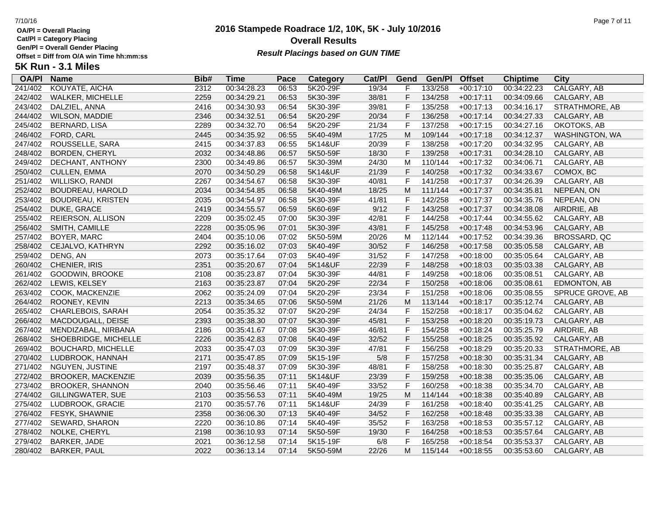**Cat/Pl = Category Placing**

**Gen/Pl = Overall Gender Placing**

### **2016 Stampede Roadrace 1/2, 10K, 5K - July 10/2016** 7/10/16 Page 7 of 11 **Overall Results Result Placings based on GUN TIME**

| <b>OA/PI</b> | <b>Name</b>               | Bib# | Time        | Pace  | Category | Cat/PI | Gend         | Gen/Pl  | <b>Offset</b> | <b>Chiptime</b> | City             |
|--------------|---------------------------|------|-------------|-------|----------|--------|--------------|---------|---------------|-----------------|------------------|
| 241/402      | KOUYATE, AICHA            | 2312 | 00:34:28.23 | 06:53 | 5K20-29F | 19/34  | F            | 133/258 | $+00:17:10$   | 00:34:22.23     | CALGARY, AB      |
| 242/402      | WALKER, MICHELLE          | 2259 | 00:34:29.21 | 06:53 | 5K30-39F | 38/81  | F            | 134/258 | $+00:17:11$   | 00:34:09.66     | CALGARY, AB      |
| 243/402      | DALZIEL, ANNA             | 2416 | 00:34:30.93 | 06:54 | 5K30-39F | 39/81  | $\mathsf F$  | 135/258 | $+00:17:13$   | 00:34:16.17     | STRATHMORE, AB   |
| 244/402      | WILSON, MADDIE            | 2346 | 00:34:32.51 | 06:54 | 5K20-29F | 20/34  | F            | 136/258 | $+00:17:14$   | 00:34:27.33     | CALGARY, AB      |
| 245/402      | <b>BERNARD, LISA</b>      | 2289 | 00:34:32.70 | 06:54 | 5K20-29F | 21/34  | $\mathsf{F}$ | 137/258 | $+00:17:15$   | 00:34:27.16     | OKOTOKS, AB      |
| 246/402      | FORD, CARL                | 2445 | 00:34:35.92 | 06:55 | 5K40-49M | 17/25  | M            | 109/144 | $+00:17:18$   | 00:34:12.37     | WASHINGTON, WA   |
| 247/402      | ROUSSELLE, SARA           | 2415 | 00:34:37.83 | 06:55 | 5K14&UF  | 20/39  | F            | 138/258 | $+00:17:20$   | 00:34:32.95     | CALGARY, AB      |
| 248/402      | <b>BORDEN, CHERYL</b>     | 2032 | 00:34:48.86 | 06:57 | 5K50-59F | 18/30  | F            | 139/258 | $+00:17:31$   | 00:34:28.10     | CALGARY, AB      |
| 249/402      | DECHANT, ANTHONY          | 2300 | 00:34:49.86 | 06:57 | 5K30-39M | 24/30  | M            | 110/144 | $+00:17:32$   | 00:34:06.71     | CALGARY, AB      |
| 250/402      | <b>CULLEN, EMMA</b>       | 2070 | 00:34:50.29 | 06:58 | 5K14&UF  | 21/39  | $\mathsf F$  | 140/258 | $+00:17:32$   | 00:34:33.67     | COMOX, BC        |
| 251/402      | WILLISKO, RANDI           | 2267 | 00:34:54.67 | 06:58 | 5K30-39F | 40/81  | $\mathsf{F}$ | 141/258 | $+00:17:37$   | 00:34:26.39     | CALGARY, AB      |
| 252/402      | BOUDREAU, HAROLD          | 2034 | 00:34:54.85 | 06:58 | 5K40-49M | 18/25  | M            | 111/144 | $+00:17:37$   | 00:34:35.81     | NEPEAN, ON       |
| 253/402      | <b>BOUDREAU, KRISTEN</b>  | 2035 | 00:34:54.97 | 06:58 | 5K30-39F | 41/81  | F            | 142/258 | $+00:17:37$   | 00:34:35.76     | NEPEAN, ON       |
| 254/402      | DUKE, GRACE               | 2419 | 00:34:55.57 | 06:59 | 5K60-69F | 9/12   | $\mathsf F$  | 143/258 | $+00:17:37$   | 00:34:38.08     | AIRDRIE, AB      |
| 255/402      | REIERSON, ALLISON         | 2209 | 00:35:02.45 | 07:00 | 5K30-39F | 42/81  | F            | 144/258 | $+00:17:44$   | 00:34:55.62     | CALGARY, AB      |
| 256/402      | SMITH, CAMILLE            | 2228 | 00:35:05.96 | 07:01 | 5K30-39F | 43/81  | F            | 145/258 | $+00:17:48$   | 00:34:53.96     | CALGARY, AB      |
| 257/402      | BOYER, MARC               | 2404 | 00:35:10.06 | 07:02 | 5K50-59M | 20/26  | м            | 112/144 | $+00:17:52$   | 00:34:39.36     | BROSSARD, QC     |
| 258/402      | CEJALVO, KATHRYN          | 2292 | 00:35:16.02 | 07:03 | 5K40-49F | 30/52  | F            | 146/258 | $+00:17:58$   | 00:35:05.58     | CALGARY, AB      |
| 259/402      | DENG, AN                  | 2073 | 00:35:17.64 | 07:03 | 5K40-49F | 31/52  | $\mathsf{F}$ | 147/258 | $+00:18:00$   | 00:35:05.64     | CALGARY, AB      |
| 260/402      | CHENIER, IRIS             | 2351 | 00:35:20.67 | 07:04 | 5K14&UF  | 22/39  | $\mathsf{F}$ | 148/258 | $+00:18:03$   | 00:35:03.38     | CALGARY, AB      |
| 261/402      | GOODWIN, BROOKE           | 2108 | 00:35:23.87 | 07:04 | 5K30-39F | 44/81  | $\mathsf{F}$ | 149/258 | $+00:18:06$   | 00:35:08.51     | CALGARY, AB      |
| 262/402      | LEWIS, KELSEY             | 2163 | 00:35:23.87 | 07:04 | 5K20-29F | 22/34  | F            | 150/258 | $+00:18:06$   | 00:35:08.61     | EDMONTON, AB     |
| 263/402      | COOK, MACKENZIE           | 2062 | 00:35:24.09 | 07:04 | 5K20-29F | 23/34  | $\mathsf{F}$ | 151/258 | $+00:18:06$   | 00:35:08.55     | SPRUCE GROVE, AB |
| 264/402      | ROONEY, KEVIN             | 2213 | 00:35:34.65 | 07:06 | 5K50-59M | 21/26  | M            | 113/144 | $+00:18:17$   | 00:35:12.74     | CALGARY, AB      |
| 265/402      | CHARLEBOIS, SARAH         | 2054 | 00:35:35.32 | 07:07 | 5K20-29F | 24/34  | F            | 152/258 | $+00:18:17$   | 00:35:04.62     | CALGARY, AB      |
| 266/402      | MACDOUGALL, DEISE         | 2393 | 00:35:38.30 | 07:07 | 5K30-39F | 45/81  | F            | 153/258 | $+00:18:20$   | 00:35:19.73     | CALGARY, AB      |
| 267/402      | MENDIZABAL, NIRBANA       | 2186 | 00:35:41.67 | 07:08 | 5K30-39F | 46/81  | F            | 154/258 | $+00:18:24$   | 00:35:25.79     | AIRDRIE, AB      |
| 268/402      | SHOEBRIDGE, MICHELLE      | 2226 | 00:35:42.83 | 07:08 | 5K40-49F | 32/52  | F            | 155/258 | $+00:18:25$   | 00:35:35.92     | CALGARY, AB      |
| 269/402      | <b>BOUCHARD, MICHELLE</b> | 2033 | 00:35:47.03 | 07:09 | 5K30-39F | 47/81  | $\mathsf{F}$ | 156/258 | $+00:18:29$   | 00:35:20.33     | STRATHMORE, AB   |
| 270/402      | LUDBROOK, HANNAH          | 2171 | 00:35:47.85 | 07:09 | 5K15-19F | 5/8    | $\mathsf{F}$ | 157/258 | $+00:18:30$   | 00:35:31.34     | CALGARY, AB      |
| 271/402      | NGUYEN, JUSTINE           | 2197 | 00:35:48.37 | 07:09 | 5K30-39F | 48/81  | $\mathsf{F}$ | 158/258 | $+00:18:30$   | 00:35:25.87     | CALGARY, AB      |
| 272/402      | <b>BROOKER, MACKENZIE</b> | 2039 | 00:35:56.35 | 07:11 | 5K14&UF  | 23/39  | $\mathsf F$  | 159/258 | $+00:18:38$   | 00:35:35.06     | CALGARY, AB      |
| 273/402      | <b>BROOKER, SHANNON</b>   | 2040 | 00:35:56.46 | 07:11 | 5K40-49F | 33/52  | F            | 160/258 | $+00:18:38$   | 00:35:34.70     | CALGARY, AB      |
| 274/402      | GILLINGWATER, SUE         | 2103 | 00:35:56.53 | 07:11 | 5K40-49M | 19/25  | M            | 114/144 | $+00:18:38$   | 00:35:40.89     | CALGARY, AB      |
| 275/402      | LUDBROOK, GRACIE          | 2170 | 00:35:57.76 | 07:11 | 5K14&UF  | 24/39  | F            | 161/258 | $+00:18:40$   | 00:35:41.25     | CALGARY, AB      |
| 276/402      | <b>FESYK, SHAWNIE</b>     | 2358 | 00:36:06.30 | 07:13 | 5K40-49F | 34/52  | F            | 162/258 | $+00:18:48$   | 00:35:33.38     | CALGARY, AB      |
| 277/402      | SEWARD, SHARON            | 2220 | 00:36:10.86 | 07:14 | 5K40-49F | 35/52  | $\mathsf{F}$ | 163/258 | $+00:18:53$   | 00:35:57.12     | CALGARY, AB      |
| 278/402      | NOLKE, CHERYL             | 2198 | 00:36:10.93 | 07:14 | 5K50-59F | 19/30  | $\mathsf F$  | 164/258 | $+00:18:53$   | 00:35:57.64     | CALGARY, AB      |
| 279/402      | BARKER, JADE              | 2021 | 00:36:12.58 | 07:14 | 5K15-19F | 6/8    | F            | 165/258 | $+00:18:54$   | 00:35:53.37     | CALGARY, AB      |
| 280/402      | <b>BARKER, PAUL</b>       | 2022 | 00:36:13.14 | 07:14 | 5K50-59M | 22/26  | M            | 115/144 | $+00:18:55$   | 00:35:53.60     | CALGARY, AB      |
|              |                           |      |             |       |          |        |              |         |               |                 |                  |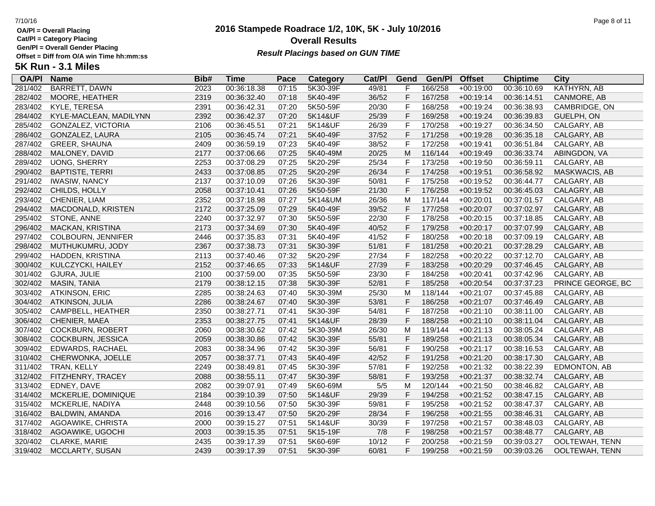**Cat/Pl = Category Placing**

**Gen/Pl = Overall Gender Placing**

**5K Run - 3.1 Miles**

### **2016 Stampede Roadrace 1/2, 10K, 5K - July 10/2016** 7/10/16 Page 8 of 11 **Overall Results Result Placings based on GUN TIME**

| <b>OA/PI</b> | Name                      | Bib# | Time        | Pace  | Category | Cat/PI | Gend | Gen/Pl  | <b>Offset</b> | <b>Chiptime</b> | City          |
|--------------|---------------------------|------|-------------|-------|----------|--------|------|---------|---------------|-----------------|---------------|
| 281/402      | BARRETT, DAWN             | 2023 | 00:36:18.38 | 07:15 | 5K30-39F | 49/81  |      | 166/258 | +00:19:00     | 00:36:10.69     | KATHYRN, AB   |
| 282/402      | MOORE, HEATHER            | 2319 | 00:36:32.40 | 07:18 | 5K40-49F | 36/52  |      | 167/258 | $+00:19:14$   | 00:36:14.51     | CANMORE, AB   |
| 283/402      | KYLE, TERESA              | 2391 | 00:36:42.31 | 07:20 | 5K50-59F | 20/30  |      | 168/258 | $+00:19:24$   | 00:36:38.93     | CAMBRIDGE, ON |
| 284/402      | KYLE-MACLEAN, MADILYNN    | 2392 | 00:36:42.37 | 07:20 | 5K14&UF  | 25/39  |      | 169/258 | $+00:19:24$   | 00:36:39.83     | GUELPH, ON    |
| 285/402      | <b>GONZALEZ, VICTORIA</b> | 2106 | 00:36:45.51 | 07:21 | 5K14&UF  | 26/39  |      | 170/258 | $+00:19:27$   | 00:36:34.50     | CALGARY, AB   |
| 286/402      | GONZALEZ, LAURA           | 2105 | 00:36:45.74 | 07:21 | 5K40-49F | 37/52  |      | 171/258 | $+00:19:28$   | 00:36:35.18     | CALGARY, AB   |
| 287/402      | <b>GREER, SHAUNA</b>      | 2409 | 00:36:59.19 | 07:23 | 5K40-49F | 38/52  | E    | 172/258 | $+00:19:41$   | 00:36:51.84     | CALGARY, AB   |
| 288/402      | MALONEY, DAVID            | 2177 | 00:37:06.66 | 07:25 | 5K40-49M | 20/25  | M    | 116/144 | $+00:19:49$   | 00:36:33.74     | ABINGDON, VA  |
| 289/402      | <b>UONG, SHERRY</b>       | 2253 | 00:37:08.29 | 07:25 | 5K20-29F | 25/34  |      | 173/258 | +00:19:50     | 00:36:59.11     | CALGARY, AB   |
| 290/402      | BAPTISTE, TERRI           | 2433 | 00:37:08.85 | 07:25 | 5K20-29F | 26/34  |      | 174/258 | $+00:19:51$   | 00:36:58.92     | MASKWACIS, AB |
| 291/402      | <b>IWASIW, NANCY</b>      | 2137 | 00:37:10.09 | 07:26 | 5K30-39F | 50/81  | F    | 175/258 | $+00:19:52$   | 00:36:44.77     | CALGARY, AB   |
| 292/402      | CHILDS, HOLLY             | 2058 | 00:37:10.41 | 07:26 | 5K50-59F | 21/30  | F.   | 176/258 | $+00:19:52$   | 00:36:45.03     | CALAGRY, AB   |
| 293/402      | CHENIER, LIAM             | 2352 | 00:37:18.98 | 07:27 | 5K14&UM  | 26/36  | M    | 117/144 | $+00:20:01$   | 00:37:01.57     | CALGARY, AB   |
| 294/402      | MACDONALD, KRISTEN        | 2172 | 00:37:25.09 | 07:29 | 5K40-49F | 39/52  |      | 177/258 | $+00:20:07$   | 00:37:02.97     | CALGARY, AB   |
| 295/402      | STONE, ANNE               | 2240 | 00:37:32.97 | 07:30 | 5K50-59F | 22/30  |      | 178/258 | $+00:20:15$   | 00:37:18.85     | CALGARY, AB   |
| 296/402      | <b>MACKAN, KRISTINA</b>   | 2173 | 00:37:34.69 | 07:30 | 5K40-49F | 40/52  |      | 179/258 | $+00:20:17$   | 00:37:07.99     | CALGARY, AB   |
|              |                           |      |             |       |          |        |      |         |               |                 |               |

295/402 STONE, ANNE 2240 00:37:32.97 07:30 5K50-59F 22/30 F 178/258 +00:20:15 00:37:18.85 CALGARY, AB 296/402 MACKAN, KRISTINA 2173 00:37:34.69 07:30 5K40-49F 40/52 F 179/258 +00:20:17 00:37:07.99 CALGARY, AB 297/402 COLBOURN, JENNIFER 2446 00:37:35.83 07:31 5K40-49F 41/52 F 180/258 +00:20:18 00:37:09.19 CALGARY, AB 298/402 MUTHUKUMRU, JODY 2367 00:37:38.73 07:31 5K30-39F 51/81 F 181/258 +00:20:21 00:37:28.29 CALGARY, AB 299/402 HADDEN, KRISTINA 2113 00:37:40.46 07:32 5K20-29F 27/34 F 182/258 +00:20:22 00:37:12.70 CALGARY, AB 300/402 KULCZYCKI, HAILEY 2152 00:37:46.65 07:33 5K14&UF 27/39 F 183/258 +00:20:29 00:37:46.45 CALGARY, AB 301/402 GJURA, JULIE 2100 00:37:59.00 07:35 5K50-59F 23/30 F 184/258 +00:20:41 00:37:42.96 CALGARY, AB 302/402 MASIN, TANIA 2179 00:38:12.15 07:38 5K30-39F 52/81 F 185/258 +00:20:54 00:37:37.23 PRINCE GEORGE, BC 303/402 ATKINSON, ERIC 2285 00:38:24.63 07:40 5K30-39M 25/30 M 118/144 +00:21:07 00:37:45.88 CALGARY, AB 304/402 ATKINSON, JULIA 2286 00:38:24.67 07:40 5K30-39F 53/81 F 186/258 +00:21:07 00:37:46.49 CALGARY, AB 305/402 CAMPBELL, HEATHER 2350 00:38:27.71 07:41 5K30-39F 54/81 F 187/258 +00:21:10 00:38:11.00 CALGARY, AB 306/402 CHENIER, MAEA 2353 00:38:27.75 07:41 5K14&UF 28/39 F 188/258 +00:21:10 00:38:11.04 CALGARY, AB 307/402 COCKBURN, ROBERT 2060 00:38:30.62 07:42 5K30-39M 26/30 M 119/144 +00:21:13 00:38:05.24 CALGARY, AB 308/402 COCKBURN, JESSICA 2059 00:38:30.86 07:42 5K30-39F 55/81 F 189/258 +00:21:13 00:38:05.34 CALGARY, AB

309/402 EDWARDS, RACHAEL 2083 00:38:34.96 07:42 5K30-39F 56/81 F 190/258 +00:21:17 00:38:16.53 CALGARY, AB 310/402 CHERWONKA, JOELLE 2057 00:38:37.71 07:43 5K40-49F 42/52 F 191/258 +00:21:20 00:38:17.30 CALGARY, AB 311/402 TRAN, KELLY 2249 00:38:49.81 07:45 5K30-39F 57/81 F 192/258 +00:21:32 00:38:22.39 EDMONTON, AB 312/402 FITZHENRY, TRACEY 2088 00:38:55.11 07:47 5K30-39F 58/81 F 193/258 +00:21:37 00:38:32.74 CALGARY, AB 313/402 EDNEY, DAVE 2082 00:39:07.91 07:49 5K60-69M 5/5 M 120/144 +00:21:50 00:38:46.82 CALGARY, AB 314/402 MCKERLIE, DOMINIQUE 2184 00:39:10.39 07:50 5K14&UF 29/39 F 194/258 +00:21:52 00:38:47.15 CALGARY, AB 315/402 MCKERLIE, NADIYA 2448 00:39:10.56 07:50 5K30-39F 59/81 F 195/258 +00:21:52 00:38:47.37 CALGARY, AB 316/402 BALDWIN, AMANDA 2016 00:39:13.47 07:50 5K20-29F 28/34 F 196/258 +00:21:55 00:38:46.31 CALGARY, AB 317/402 AGOAWIKE, CHRISTA 2000 00:39:15.27 07:51 5K14&UF 30/39 F 197/258 +00:21:57 00:38:48.03 CALGARY, AB 318/402 AGOAWIKE, UGOCHI 2003 00:39:15.35 07:51 5K15-19F 7/8 F 198/258 +00:21:57 00:38:48.77 CALGARY, AB 320/402 CLARKE, MARIE 2435 00:39:17.39 07:51 5K60-69F 10/12 F 200/258 +00:21:59 00:39:03.27 OOLTEWAH, TENN 319/402 MCCLARTY, SUSAN 2439 00:39:17.39 07:51 5K30-39F 60/81 F 199/258 +00:21:59 00:39:03.26 OOLTEWAH, TENN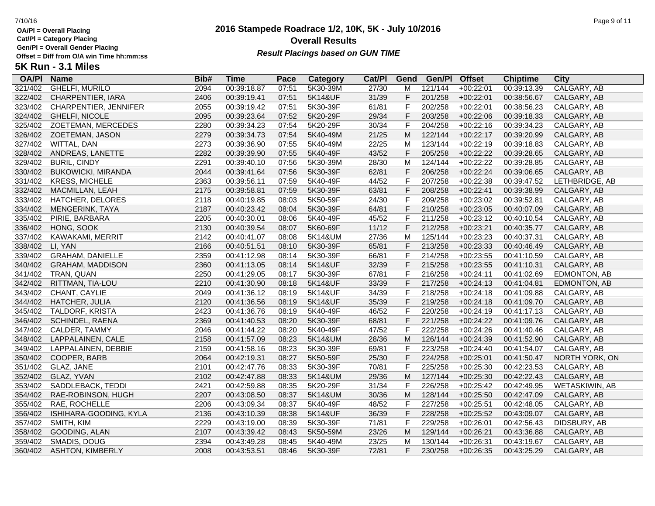**Cat/Pl = Category Placing**

**Gen/Pl = Overall Gender Placing**

**5K Run - 3.1 Miles**

## **2016 Stampede Roadrace 1/2, 10K, 5K - July 10/2016** 7/10/16 Page 9 of 11 **Overall Results** Gen/PI = Overall Gender Placing<br>Offset = Diff from O/A win Time hh:mm:ss *Result Placings based on GUN TIME*

| <b>OA/PI</b> | <b>Name</b>               | Bib# | <b>Time</b> | Pace  | Category | Cat/PI | Gend           | Gen/Pl  | <b>Offset</b> | <b>Chiptime</b> | City           |
|--------------|---------------------------|------|-------------|-------|----------|--------|----------------|---------|---------------|-----------------|----------------|
| 321/402      | <b>GHELFI, MURILO</b>     | 2094 | 00:39:18.87 | 07:51 | 5K30-39M | 27/30  | M              | 121/144 | $+00:22:01$   | 00:39:13.39     | CALGARY, AB    |
| 322/402      | CHARPENTIER, IARA         | 2406 | 00:39:19.41 | 07:51 | 5K14&UF  | 31/39  | F              | 201/258 | $+00:22:01$   | 00:38:56.67     | CALGARY, AB    |
| 323/402      | CHARPENTIER, JENNIFER     | 2055 | 00:39:19.42 | 07:51 | 5K30-39F | 61/81  | $\mathsf{F}$   | 202/258 | $+00:22:01$   | 00:38:56.23     | CALGARY, AB    |
| 324/402      | <b>GHELFI, NICOLE</b>     | 2095 | 00:39:23.64 | 07:52 | 5K20-29F | 29/34  | $\mathsf F$    | 203/258 | $+00:22:06$   | 00:39:18.33     | CALGARY, AB    |
| 325/402      | ZOETEMAN, MERCEDES        | 2280 | 00:39:34.23 | 07:54 | 5K20-29F | 30/34  | $\mathsf F$    | 204/258 | $+00:22:16$   | 00:39:34.23     | CALGARY, AB    |
| 326/402      | ZOETEMAN, JASON           | 2279 | 00:39:34.73 | 07:54 | 5K40-49M | 21/25  | M              | 122/144 | $+00:22:17$   | 00:39:20.99     | CALGARY, AB    |
| 327/402      | WITTAL, DAN               | 2273 | 00:39:36.90 | 07:55 | 5K40-49M | 22/25  | M              | 123/144 | $+00:22:19$   | 00:39:18.83     | CALGARY, AB    |
| 328/402      | ANDREAS, LANETTE          | 2282 | 00:39:39.90 | 07:55 | 5K40-49F | 43/52  | $\mathsf F$    | 205/258 | $+00:22:22$   | 00:39:28.65     | CALGARY, AB    |
| 329/402      | <b>BURIL, CINDY</b>       | 2291 | 00:39:40.10 | 07:56 | 5K30-39M | 28/30  | M              | 124/144 | $+00:22:22$   | 00:39:28.85     | CALGARY, AB    |
| 330/402      | <b>BUKOWICKI, MIRANDA</b> | 2044 | 00:39:41.64 | 07:56 | 5K30-39F | 62/81  | $\mathsf F$    | 206/258 | $+00:22:24$   | 00:39:06.65     | CALGARY, AB    |
| 331/402      | <b>KRESS, MICHELE</b>     | 2363 | 00:39:56.11 | 07:59 | 5K40-49F | 44/52  | $\mathsf{F}$   | 207/258 | $+00:22:38$   | 00:39:47.52     | LETHBRIDGE, AB |
| 332/402      | MACMILLAN, LEAH           | 2175 | 00:39:58.81 | 07:59 | 5K30-39F | 63/81  | $\mathsf F$    | 208/258 | $+00:22:41$   | 00:39:38.99     | CALGARY, AB    |
| 333/402      | HATCHER, DELORES          | 2118 | 00:40:19.85 | 08:03 | 5K50-59F | 24/30  | $\mathsf F$    | 209/258 | $+00:23:02$   | 00:39:52.81     | CALGARY, AB    |
| 334/402      | MENGERINK, TAYA           | 2187 | 00:40:23.42 | 08:04 | 5K30-39F | 64/81  | $\overline{F}$ | 210/258 | $+00:23:05$   | 00:40:07.09     | CALGARY, AB    |
| 335/402      | PIRIE, BARBARA            | 2205 | 00:40:30.01 | 08:06 | 5K40-49F | 45/52  | $\mathsf{F}$   | 211/258 | $+00:23:12$   | 00:40:10.54     | CALGARY, AB    |
| 336/402      | HONG, SOOK                | 2130 | 00:40:39.54 | 08:07 | 5K60-69F | 11/12  | $\mathsf F$    | 212/258 | $+00:23:21$   | 00:40:35.77     | CALGARY, AB    |
| 337/402      | KAWAKAMI, MERRIT          | 2142 | 00:40:41.07 | 08:08 | 5K14&UM  | 27/36  | M              | 125/144 | $+00:23:23$   | 00:40:37.31     | CALGARY, AB    |
| 338/402      | LI, YAN                   | 2166 | 00:40:51.51 | 08:10 | 5K30-39F | 65/81  | F              | 213/258 | $+00:23:33$   | 00:40:46.49     | CALGARY, AB    |
| 339/402      | <b>GRAHAM, DANIELLE</b>   | 2359 | 00:41:12.98 | 08:14 | 5K30-39F | 66/81  | $\mathsf F$    | 214/258 | $+00:23:55$   | 00:41:10.59     | CALGARY, AB    |
| 340/402      | <b>GRAHAM, MADDISON</b>   | 2360 | 00:41:13.05 | 08:14 | 5K14&UF  | 32/39  | $\mathsf{F}$   | 215/258 | $+00:23:55$   | 00:41:10.31     | CALGARY, AB    |
| 341/402      | TRAN, QUAN                | 2250 | 00:41:29.05 | 08:17 | 5K30-39F | 67/81  | $\mathsf F$    | 216/258 | $+00:24:11$   | 00:41:02.69     | EDMONTON, AB   |
| 342/402      | RITTMAN, TIA-LOU          | 2210 | 00:41:30.90 | 08:18 | 5K14&UF  | 33/39  | F              | 217/258 | $+00:24:13$   | 00:41:04.81     | EDMONTON, AB   |
| 343/402      | CHANT, CAYLIE             | 2049 | 00:41:36.12 | 08:19 | 5K14&UF  | 34/39  | $\mathsf{F}$   | 218/258 | $+00:24:18$   | 00:41:09.88     | CALGARY, AB    |
| 344/402      | HATCHER, JULIA            | 2120 | 00:41:36.56 | 08:19 | 5K14&UF  | 35/39  | $\mathsf F$    | 219/258 | $+00:24:18$   | 00:41:09.70     | CALGARY, AB    |
| 345/402      | TALDORF, KRISTA           | 2423 | 00:41:36.76 | 08:19 | 5K40-49F | 46/52  | F              | 220/258 | $+00:24:19$   | 00:41:17.13     | CALGARY, AB    |
| 346/402      | SCHINDEL, RAENA           | 2369 | 00:41:40.53 | 08:20 | 5K30-39F | 68/81  | $\mathsf F$    | 221/258 | $+00:24:22$   | 00:41:09.76     | CALGARY, AB    |
| 347/402      | CALDER, TAMMY             | 2046 | 00:41:44.22 | 08:20 | 5K40-49F | 47/52  | $\mathsf F$    | 222/258 | $+00:24:26$   | 00:41:40.46     | CALGARY, AB    |
| 348/402      | LAPPALAINEN, CALE         | 2158 | 00:41:57.09 | 08:23 | 5K14&UM  | 28/36  | M              | 126/144 | $+00:24:39$   | 00:41:52.90     | CALGARY, AB    |
| 349/402      | LAPPALAINEN, DEBBIE       | 2159 | 00:41:58.16 | 08:23 | 5K30-39F | 69/81  | $\mathsf F$    | 223/258 | $+00:24:40$   | 00:41:54.07     | CALGARY, AB    |
| 350/402      | COOPER, BARB              | 2064 | 00:42:19.31 | 08:27 | 5K50-59F | 25/30  | $\mathsf F$    | 224/258 | $+00:25:01$   | 00:41:50.47     | NORTH YORK, ON |
| 351/402      | GLAZ, JANE                | 2101 | 00:42:47.76 | 08:33 | 5K30-39F | 70/81  | $\mathsf F$    | 225/258 | $+00:25:30$   | 00:42:23.53     | CALGARY, AB    |
| 352/402      | GLAZ, YVAN                | 2102 | 00:42:47.88 | 08:33 | 5K14&UM  | 29/36  | M              | 127/144 | $+00:25:30$   | 00:42:22.43     | CALGARY, AB    |
| 353/402      | SADDLEBACK, TEDDI         | 2421 | 00:42:59.88 | 08:35 | 5K20-29F | 31/34  | $\mathsf F$    | 226/258 | $+00:25:42$   | 00:42:49.95     | WETASKIWIN, AB |
| 354/402      | RAE-ROBINSON, HUGH        | 2207 | 00:43:08.50 | 08:37 | 5K14&UM  | 30/36  | M              | 128/144 | $+00:25:50$   | 00:42:47.09     | CALGARY, AB    |
| 355/402      | RAE, ROCHELLE             | 2206 | 00:43:09.34 | 08:37 | 5K40-49F | 48/52  | $\mathsf F$    | 227/258 | $+00:25:51$   | 00:42:48.05     | CALGARY, AB    |
| 356/402      | ISHIHARA-GOODING, KYLA    | 2136 | 00:43:10.39 | 08:38 | 5K14&UF  | 36/39  | $\mathsf F$    | 228/258 | $+00:25:52$   | 00:43:09.07     | CALGARY, AB    |
| 357/402      | SMITH, KIM                | 2229 | 00:43:19.00 | 08:39 | 5K30-39F | 71/81  | $\mathsf F$    | 229/258 | $+00:26:01$   | 00:42:56.43     | DIDSBURY, AB   |
| 358/402      | GOODING, ALAN             | 2107 | 00:43:39.42 | 08:43 | 5K50-59M | 23/26  | M              | 129/144 | $+00:26:21$   | 00:43:36.88     | CALGARY, AB    |
| 359/402      | SMADIS, DOUG              | 2394 | 00:43:49.28 | 08:45 | 5K40-49M | 23/25  | M              | 130/144 | $+00:26:31$   | 00:43:19.67     | CALGARY, AB    |
| 360/402      | <b>ASHTON, KIMBERLY</b>   | 2008 | 00:43:53.51 | 08:46 | 5K30-39F | 72/81  | F              | 230/258 | $+00:26:35$   | 00:43:25.29     | CALGARY, AB    |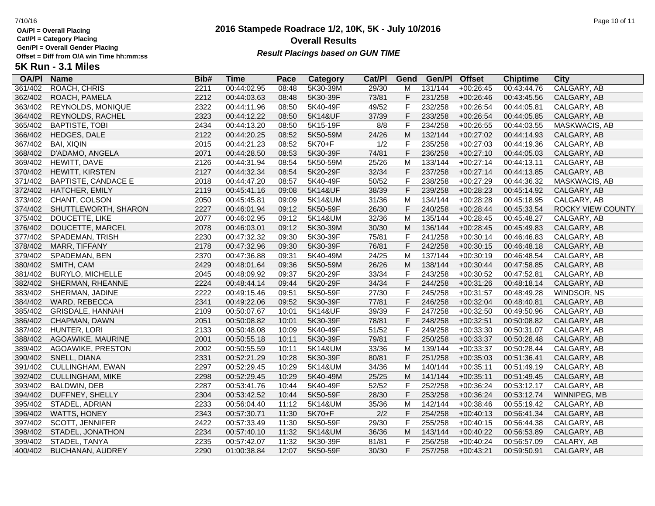**Cat/Pl = Category Placing**

**Gen/Pl = Overall Gender Placing**

**5K Run - 3.1 Miles**

### **2016 Stampede Roadrace 1/2, 10K, 5K - July 10/2016** 7/10/16 Page 10 of 11 **Overall Results Result Placings based on GUN TIME**

361/402 ROACH, CHRIS 2211 00:44:02.95 08:48 5K30-39M 29/30 M 131/144 +00:26:45 00:43:44.76 CALGARY, AB 362/402 ROACH, PAMELA 2212 00:44:03.63 08:48 5K30-39F 73/81 F 231/258 +00:26:46 00:43:45.56 CALGARY, AB

**OA/Pl Name Bib# Time Category Cat/Pl Gen/Pl**

**Pace Category Cat/PI Gend Gen/PI Offset Chiptime City**<br>08:48 5K30-39M 29/30 M 131/144 +00:26:45 00:43:44.76 CALGARY.AB

| 363/402 | <b>REYNOLDS, MONIQUE</b>   | 2322 | 00:44:11.96 | 08:50 | 5K40-49F | 49/52 |              | 232/258 | $+00:26:54$ | 00:44:05.81 | CALGARY, AB         |
|---------|----------------------------|------|-------------|-------|----------|-------|--------------|---------|-------------|-------------|---------------------|
| 364/402 | REYNOLDS, RACHEL           | 2323 | 00:44:12.22 | 08:50 | 5K14&UF  | 37/39 | F            | 233/258 | $+00:26:54$ | 00:44:05.85 | CALGARY, AB         |
| 365/402 | <b>BAPTISTE, TOBI</b>      | 2434 | 00:44:13.20 | 08:50 | 5K15-19F | 8/8   | F            | 234/258 | $+00:26:55$ | 00:44:03.55 | MASKWACIS, AB       |
| 366/402 | HEDGES, DALE               | 2122 | 00:44:20.25 | 08:52 | 5K50-59M | 24/26 | M            | 132/144 | $+00:27:02$ | 00:44:14.93 | CALGARY, AB         |
| 367/402 | <b>BAI, XIQIN</b>          | 2015 | 00:44:21.23 | 08:52 | 5K70+F   | 1/2   | F            | 235/258 | $+00:27:03$ | 00:44:19.36 | CALGARY, AB         |
| 368/402 | D'ADAMO, ANGELA            | 2071 | 00:44:28.50 | 08:53 | 5K30-39F | 74/81 | F            | 236/258 | $+00:27:10$ | 00:44:05.03 | CALGARY, AB         |
| 369/402 | HEWITT, DAVE               | 2126 | 00:44:31.94 | 08:54 | 5K50-59M | 25/26 | M            | 133/144 | $+00:27:14$ | 00:44:13.11 | CALGARY, AB         |
| 370/402 | HEWITT, KIRSTEN            | 2127 | 00:44:32.34 | 08:54 | 5K20-29F | 32/34 | F            | 237/258 | $+00:27:14$ | 00:44:13.85 | CALGARY, AB         |
| 371/402 | <b>BAPTISTE, CANDACE E</b> | 2018 | 00:44:47.20 | 08:57 | 5K40-49F | 50/52 | F            | 238/258 | $+00:27:29$ | 00:44:36.32 | MASKWACIS, AB       |
| 372/402 | <b>HATCHER, EMILY</b>      | 2119 | 00:45:41.16 | 09:08 | 5K14&UF  | 38/39 | F            | 239/258 | $+00:28:23$ | 00:45:14.92 | CALGARY, AB         |
| 373/402 | CHANT, COLSON              | 2050 | 00:45:45.81 | 09:09 | 5K14&UM  | 31/36 | M            | 134/144 | $+00:28:28$ | 00:45:18.95 | CALGARY, AB         |
| 374/402 | SHUTTLEWORTH, SHARON       | 2227 | 00:46:01.94 | 09:12 | 5K50-59F | 26/30 | F            | 240/258 | $+00:28:44$ | 00:45:33.54 | ROCKY VIEW COUNTY,  |
| 375/402 | DOUCETTE, LIKE             | 2077 | 00:46:02.95 | 09:12 | 5K14&UM  | 32/36 | м            | 135/144 | $+00:28:45$ | 00:45:48.27 | CALGARY, AB         |
| 376/402 | DOUCETTE, MARCEL           | 2078 | 00:46:03.01 | 09:12 | 5K30-39M | 30/30 | M            | 136/144 | $+00:28:45$ | 00:45:49.83 | CALGARY, AB         |
| 377/402 | SPADEMAN, TRISH            | 2230 | 00:47:32.32 | 09:30 | 5K30-39F | 75/81 | F            | 241/258 | $+00:30:14$ | 00:46:46.83 | CALGARY, AB         |
| 378/402 | <b>MARR, TIFFANY</b>       | 2178 | 00:47:32.96 | 09:30 | 5K30-39F | 76/81 | F            | 242/258 | $+00:30:15$ | 00:46:48.18 | CALGARY, AB         |
| 379/402 | SPADEMAN, BEN              | 2370 | 00:47:36.88 | 09:31 | 5K40-49M | 24/25 | м            | 137/144 | $+00:30:19$ | 00:46:48.54 | CALGARY, AB         |
| 380/402 | SMITH, CAM                 | 2429 | 00:48:01.64 | 09:36 | 5K50-59M | 26/26 | M            | 138/144 | $+00:30:44$ | 00:47:58.85 | CALGARY, AB         |
| 381/402 | <b>BURYLO, MICHELLE</b>    | 2045 | 00:48:09.92 | 09:37 | 5K20-29F | 33/34 | F            | 243/258 | $+00:30:52$ | 00:47:52.81 | CALGARY, AB         |
| 382/402 | SHERMAN, RHEANNE           | 2224 | 00:48:44.14 | 09:44 | 5K20-29F | 34/34 | F            | 244/258 | $+00:31:26$ | 00:48:18.14 | CALGARY, AB         |
| 383/402 | SHERMAN, JADINE            | 2222 | 00:49:15.46 | 09:51 | 5K50-59F | 27/30 | F            | 245/258 | $+00:31:57$ | 00:48:49.28 | WINDSOR, NS         |
| 384/402 | WARD, REBECCA              | 2341 | 00:49:22.06 | 09:52 | 5K30-39F | 77/81 | F            | 246/258 | $+00:32:04$ | 00:48:40.81 | CALGARY, AB         |
| 385/402 | GRISDALE, HANNAH           | 2109 | 00:50:07.67 | 10:01 | 5K14&UF  | 39/39 | F            | 247/258 | $+00:32:50$ | 00:49:50.96 | CALGARY, AB         |
| 386/402 | CHAPMAN, DAWN              | 2051 | 00:50:08.82 | 10:01 | 5K30-39F | 78/81 | F            | 248/258 | $+00:32:51$ | 00:50:08.82 | CALGARY, AB         |
| 387/402 | HUNTER, LORI               | 2133 | 00:50:48.08 | 10:09 | 5K40-49F | 51/52 | F            | 249/258 | $+00:33:30$ | 00:50:31.07 | CALGARY, AB         |
| 388/402 | AGOAWIKE, MAURINE          | 2001 | 00:50:55.18 | 10:11 | 5K30-39F | 79/81 | F            | 250/258 | $+00:33:37$ | 00:50:28.48 | CALGARY, AB         |
| 389/402 | AGOAWIKE, PRESTON          | 2002 | 00:50:55.59 | 10:11 | 5K14&UM  | 33/36 | м            | 139/144 | $+00:33:37$ | 00:50:28.44 | CALGARY, AB         |
| 390/402 | SNELL, DIANA               | 2331 | 00:52:21.29 | 10:28 | 5K30-39F | 80/81 | F            | 251/258 | $+00:35:03$ | 00:51:36.41 | CALGARY, AB         |
| 391/402 | <b>CULLINGHAM, EWAN</b>    | 2297 | 00:52:29.45 | 10:29 | 5K14&UM  | 34/36 | м            | 140/144 | $+00:35:11$ | 00:51:49.19 | CALGARY, AB         |
| 392/402 | <b>CULLINGHAM, MIKE</b>    | 2298 | 00:52:29.45 | 10:29 | 5K40-49M | 25/25 | М            | 141/144 | $+00:35:11$ | 00:51:49.45 | CALGARY, AB         |
| 393/402 | BALDWIN, DEB               | 2287 | 00:53:41.76 | 10:44 | 5K40-49F | 52/52 | $\mathsf{F}$ | 252/258 | $+00:36:24$ | 00:53:12.17 | CALGARY, AB         |
| 394/402 | DUFFNEY, SHELLY            | 2304 | 00:53:42.52 | 10:44 | 5K50-59F | 28/30 | F            | 253/258 | $+00:36:24$ | 00:53:12.74 | <b>WINNIPEG, MB</b> |

395/402 STADEL, ADRIAN 2233 00:56:04.40 11:12 5K14&UM 35/36 M 142/144 +00:38:46 00:55:19.42 CALGARY, AB 396/402 WATTS, HONEY 2343 00:57:30.71 11:30 5K70+F 2/2 F 254/258 +00:40:13 00:56:41.34 CALGARY, AB 397/402 SCOTT, JENNIFER 2422 00:57:33.49 11:30 5K50-59F 29/30 F 255/258 +00:40:15 00:56:44.38 CALGARY, AB 398/402 STADEL, JONATHON 2234 00:57:40.10 11:32 5K14&UM 36/36 M 143/144 +00:40:22 00:56:53.89 CALGARY, AB 399/402 STADEL, TANYA 2235 00:57:42.07 11:32 5K30-39F 81/81 F 256/258 +00:40:24 00:56:57.09 CALARY, AB 400/402 BUCHANAN, AUDREY 2290 01:00:38.84 12:07 5K50-59F 30/30 F 257/258 +00:43:21 00:59:50.91 CALGARY, AB